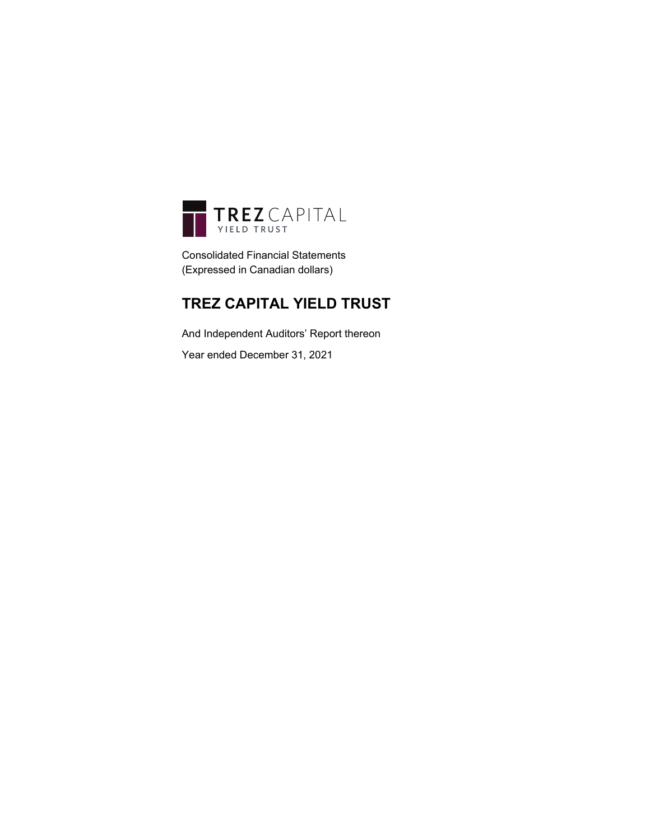

Consolidated Financial Statements (Expressed in Canadian dollars)

### **TREZ CAPITAL YIELD TRUST**

And Independent Auditors' Report thereon

Year ended December 31, 2021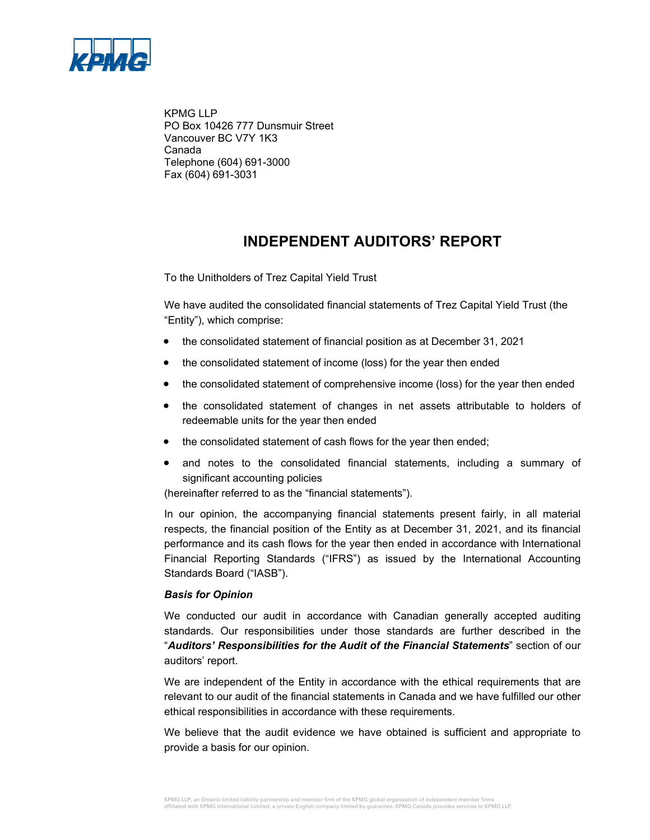

KPMG LLP PO Box 10426 777 Dunsmuir Street Vancouver BC V7Y 1K3 Canada Telephone (604) 691-3000 Fax (604) 691-3031

### **INDEPENDENT AUDITORS' REPORT**

To the Unitholders of Trez Capital Yield Trust

We have audited the consolidated financial statements of Trez Capital Yield Trust (the "Entity"), which comprise:

- the consolidated statement of financial position as at December 31, 2021
- the consolidated statement of income (loss) for the year then ended
- the consolidated statement of comprehensive income (loss) for the year then ended
- the consolidated statement of changes in net assets attributable to holders of redeemable units for the year then ended
- the consolidated statement of cash flows for the year then ended;
- and notes to the consolidated financial statements, including a summary of significant accounting policies

(hereinafter referred to as the "financial statements").

In our opinion, the accompanying financial statements present fairly, in all material respects, the financial position of the Entity as at December 31, 2021, and its financial performance and its cash flows for the year then ended in accordance with International Financial Reporting Standards ("IFRS") as issued by the International Accounting Standards Board ("IASB").

### *Basis for Opinion*

We conducted our audit in accordance with Canadian generally accepted auditing standards. Our responsibilities under those standards are further described in the "*Auditors' Responsibilities for the Audit of the Financial Statements*" section of our auditors' report.

We are independent of the Entity in accordance with the ethical requirements that are relevant to our audit of the financial statements in Canada and we have fulfilled our other ethical responsibilities in accordance with these requirements.

We believe that the audit evidence we have obtained is sufficient and appropriate to provide a basis for our opinion.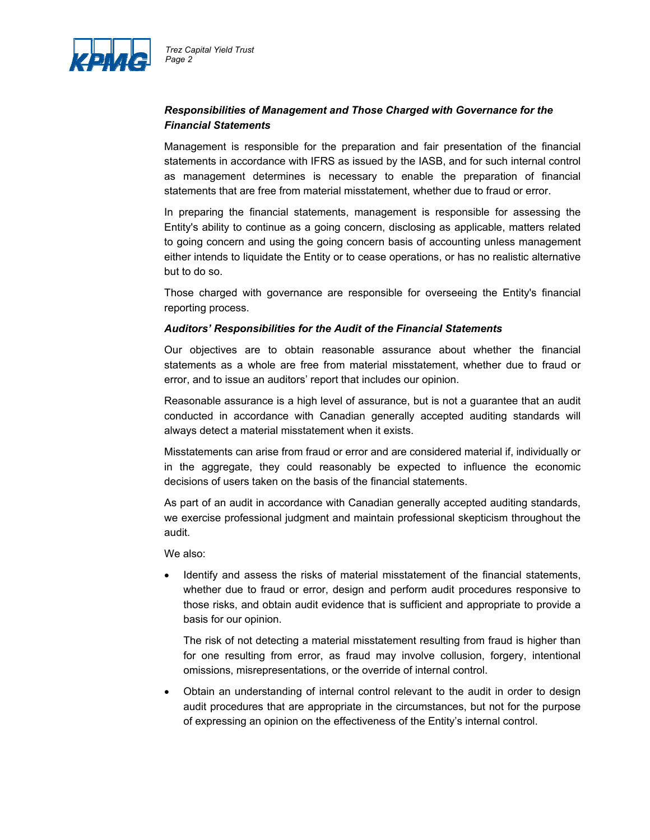

### *Responsibilities of Management and Those Charged with Governance for the Financial Statements*

Management is responsible for the preparation and fair presentation of the financial statements in accordance with IFRS as issued by the IASB, and for such internal control as management determines is necessary to enable the preparation of financial statements that are free from material misstatement, whether due to fraud or error.

In preparing the financial statements, management is responsible for assessing the Entity's ability to continue as a going concern, disclosing as applicable, matters related to going concern and using the going concern basis of accounting unless management either intends to liquidate the Entity or to cease operations, or has no realistic alternative but to do so.

Those charged with governance are responsible for overseeing the Entity's financial reporting process.

### *Auditors' Responsibilities for the Audit of the Financial Statements*

Our objectives are to obtain reasonable assurance about whether the financial statements as a whole are free from material misstatement, whether due to fraud or error, and to issue an auditors' report that includes our opinion.

Reasonable assurance is a high level of assurance, but is not a guarantee that an audit conducted in accordance with Canadian generally accepted auditing standards will always detect a material misstatement when it exists.

Misstatements can arise from fraud or error and are considered material if, individually or in the aggregate, they could reasonably be expected to influence the economic decisions of users taken on the basis of the financial statements.

As part of an audit in accordance with Canadian generally accepted auditing standards, we exercise professional judgment and maintain professional skepticism throughout the audit.

We also:

 Identify and assess the risks of material misstatement of the financial statements, whether due to fraud or error, design and perform audit procedures responsive to those risks, and obtain audit evidence that is sufficient and appropriate to provide a basis for our opinion.

The risk of not detecting a material misstatement resulting from fraud is higher than for one resulting from error, as fraud may involve collusion, forgery, intentional omissions, misrepresentations, or the override of internal control.

 Obtain an understanding of internal control relevant to the audit in order to design audit procedures that are appropriate in the circumstances, but not for the purpose of expressing an opinion on the effectiveness of the Entity's internal control.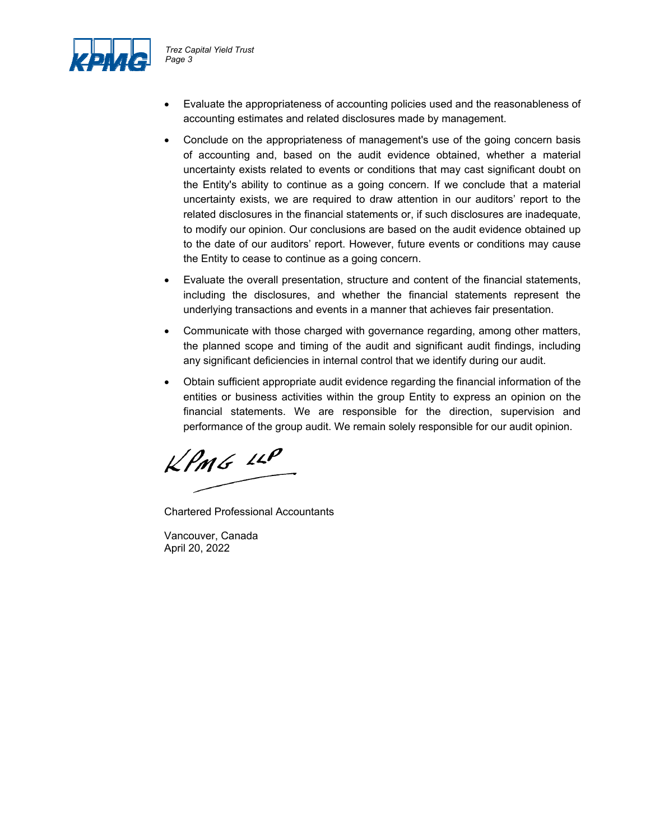

- Evaluate the appropriateness of accounting policies used and the reasonableness of accounting estimates and related disclosures made by management.
- Conclude on the appropriateness of management's use of the going concern basis of accounting and, based on the audit evidence obtained, whether a material uncertainty exists related to events or conditions that may cast significant doubt on the Entity's ability to continue as a going concern. If we conclude that a material uncertainty exists, we are required to draw attention in our auditors' report to the related disclosures in the financial statements or, if such disclosures are inadequate, to modify our opinion. Our conclusions are based on the audit evidence obtained up to the date of our auditors' report. However, future events or conditions may cause the Entity to cease to continue as a going concern.
- Evaluate the overall presentation, structure and content of the financial statements, including the disclosures, and whether the financial statements represent the underlying transactions and events in a manner that achieves fair presentation.
- Communicate with those charged with governance regarding, among other matters, the planned scope and timing of the audit and significant audit findings, including any significant deficiencies in internal control that we identify during our audit.
- Obtain sufficient appropriate audit evidence regarding the financial information of the entities or business activities within the group Entity to express an opinion on the financial statements. We are responsible for the direction, supervision and performance of the group audit. We remain solely responsible for our audit opinion.

 $KPMG$  11P

Chartered Professional Accountants

Vancouver, Canada April 20, 2022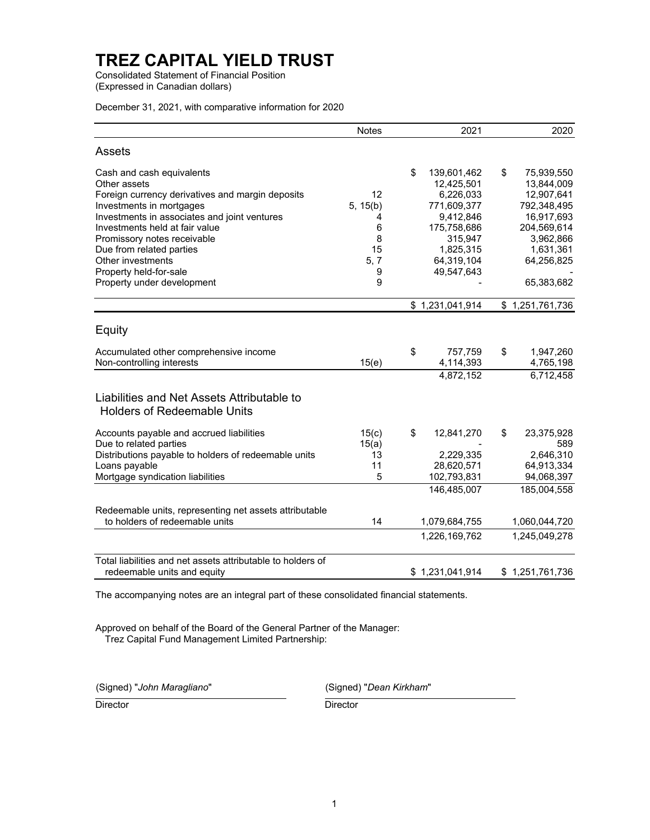Consolidated Statement of Financial Position (Expressed in Canadian dollars)

December 31, 2021, with comparative information for 2020

|                                                                                  | <b>Notes</b> | 2021              | 2020             |
|----------------------------------------------------------------------------------|--------------|-------------------|------------------|
| Assets                                                                           |              |                   |                  |
| Cash and cash equivalents                                                        |              | \$<br>139,601,462 | \$<br>75,939,550 |
| Other assets                                                                     |              | 12,425,501        | 13,844,009       |
| Foreign currency derivatives and margin deposits                                 | 12           | 6,226,033         | 12,907,641       |
| Investments in mortgages                                                         | 5, 15(b)     | 771,609,377       | 792,348,495      |
| Investments in associates and joint ventures                                     | 4            | 9,412,846         | 16,917,693       |
| Investments held at fair value                                                   | 6            | 175,758,686       | 204,569,614      |
| Promissory notes receivable                                                      | 8            | 315,947           | 3,962,866        |
| Due from related parties                                                         | 15           | 1,825,315         | 1,631,361        |
| Other investments                                                                | 5, 7         | 64,319,104        | 64,256,825       |
| Property held-for-sale                                                           | 9            | 49,547,643        |                  |
| Property under development                                                       | 9            |                   | 65,383,682       |
|                                                                                  |              | \$1,231,041,914   | \$1,251,761,736  |
| Equity                                                                           |              |                   |                  |
| Accumulated other comprehensive income                                           |              | \$<br>757,759     | \$<br>1,947,260  |
| Non-controlling interests                                                        | 15(e)        | 4,114,393         | 4,765,198        |
|                                                                                  |              | 4,872,152         | 6,712,458        |
| Liabilities and Net Assets Attributable to<br><b>Holders of Redeemable Units</b> |              |                   |                  |
| Accounts payable and accrued liabilities                                         | 15(c)        | \$<br>12,841,270  | \$<br>23,375,928 |
| Due to related parties                                                           | 15(a)        |                   | 589              |
| Distributions payable to holders of redeemable units                             | 13           | 2,229,335         | 2,646,310        |
| Loans payable                                                                    | 11           | 28,620,571        | 64,913,334       |
| Mortgage syndication liabilities                                                 | 5            | 102,793,831       | 94,068,397       |
|                                                                                  |              | 146,485,007       | 185,004,558      |
| Redeemable units, representing net assets attributable                           |              |                   |                  |
| to holders of redeemable units                                                   | 14           | 1,079,684,755     | 1,060,044,720    |
|                                                                                  |              | 1,226,169,762     | 1,245,049,278    |
| Total liabilities and net assets attributable to holders of                      |              |                   |                  |
| redeemable units and equity                                                      |              | \$1,231,041,914   | \$1,251,761,736  |

The accompanying notes are an integral part of these consolidated financial statements.

Approved on behalf of the Board of the General Partner of the Manager: Trez Capital Fund Management Limited Partnership:

(Signed) "*John Maragliano*" (Signed) "*Dean Kirkham*"

Director Director **Director** Director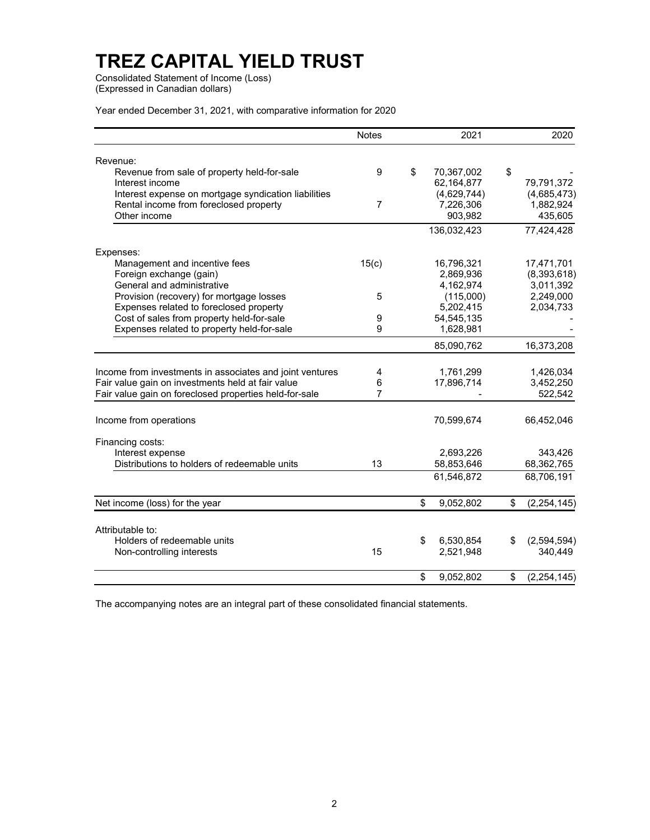Consolidated Statement of Income (Loss) (Expressed in Canadian dollars)

Year ended December 31, 2021, with comparative information for 2020

|                                                          | <b>Notes</b> | 2021             | 2020                |
|----------------------------------------------------------|--------------|------------------|---------------------|
| Revenue:                                                 |              |                  |                     |
| Revenue from sale of property held-for-sale              | 9            | \$<br>70,367,002 | \$                  |
| Interest income                                          |              | 62,164,877       | 79,791,372          |
| Interest expense on mortgage syndication liabilities     |              | (4,629,744)      | (4,685,473)         |
| Rental income from foreclosed property                   | 7            | 7,226,306        | 1,882,924           |
| Other income                                             |              | 903,982          | 435,605             |
|                                                          |              | 136,032,423      | 77,424,428          |
| Expenses:                                                |              |                  |                     |
| Management and incentive fees                            | 15(c)        | 16,796,321       | 17,471,701          |
| Foreign exchange (gain)                                  |              | 2,869,936        | (8,393,618)         |
| General and administrative                               |              | 4,162,974        | 3,011,392           |
| Provision (recovery) for mortgage losses                 | 5            | (115,000)        | 2,249,000           |
| Expenses related to foreclosed property                  |              | 5,202,415        | 2,034,733           |
| Cost of sales from property held-for-sale                | 9            | 54, 545, 135     |                     |
| Expenses related to property held-for-sale               | 9            | 1,628,981        |                     |
|                                                          |              | 85,090,762       | 16,373,208          |
| Income from investments in associates and joint ventures | 4            | 1,761,299        | 1,426,034           |
| Fair value gain on investments held at fair value        | 6            | 17,896,714       | 3,452,250           |
| Fair value gain on foreclosed properties held-for-sale   | 7            |                  | 522,542             |
|                                                          |              |                  |                     |
| Income from operations                                   |              | 70,599,674       | 66,452,046          |
| Financing costs:                                         |              |                  |                     |
| Interest expense                                         |              | 2,693,226        | 343,426             |
| Distributions to holders of redeemable units             | 13           | 58,853,646       | 68,362,765          |
|                                                          |              | 61,546,872       | 68,706,191          |
| Net income (loss) for the year                           |              | \$<br>9,052,802  | \$<br>(2, 254, 145) |
|                                                          |              |                  |                     |
| Attributable to:                                         |              |                  |                     |
| Holders of redeemable units                              |              | \$<br>6,530,854  | \$<br>(2,594,594)   |
| Non-controlling interests                                | 15           | 2,521,948        | 340,449             |
|                                                          |              | \$<br>9,052,802  | \$<br>(2, 254, 145) |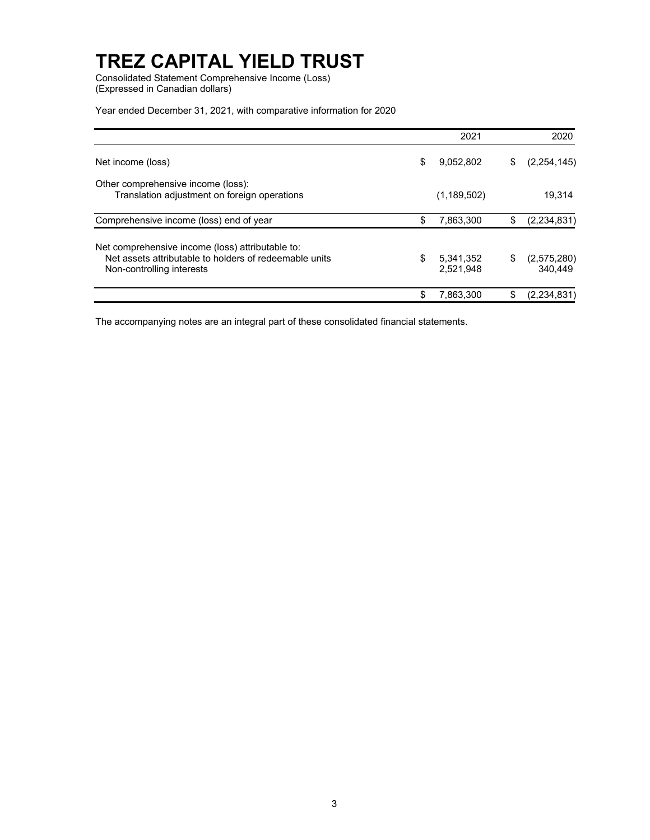Consolidated Statement Comprehensive Income (Loss) (Expressed in Canadian dollars)

Year ended December 31, 2021, with comparative information for 2020

|                                                                                                                                         | 2021                         | 2020                         |
|-----------------------------------------------------------------------------------------------------------------------------------------|------------------------------|------------------------------|
| Net income (loss)                                                                                                                       | \$<br>9.052.802              | \$<br>(2, 254, 145)          |
| Other comprehensive income (loss):<br>Translation adjustment on foreign operations                                                      | (1, 189, 502)                | 19,314                       |
| Comprehensive income (loss) end of year                                                                                                 | \$<br>7,863,300              | \$<br>(2, 234, 831)          |
| Net comprehensive income (loss) attributable to:<br>Net assets attributable to holders of redeemable units<br>Non-controlling interests | \$<br>5,341,352<br>2,521,948 | \$<br>(2,575,280)<br>340.449 |
|                                                                                                                                         | \$<br>7,863,300              | (2, 234, 831)                |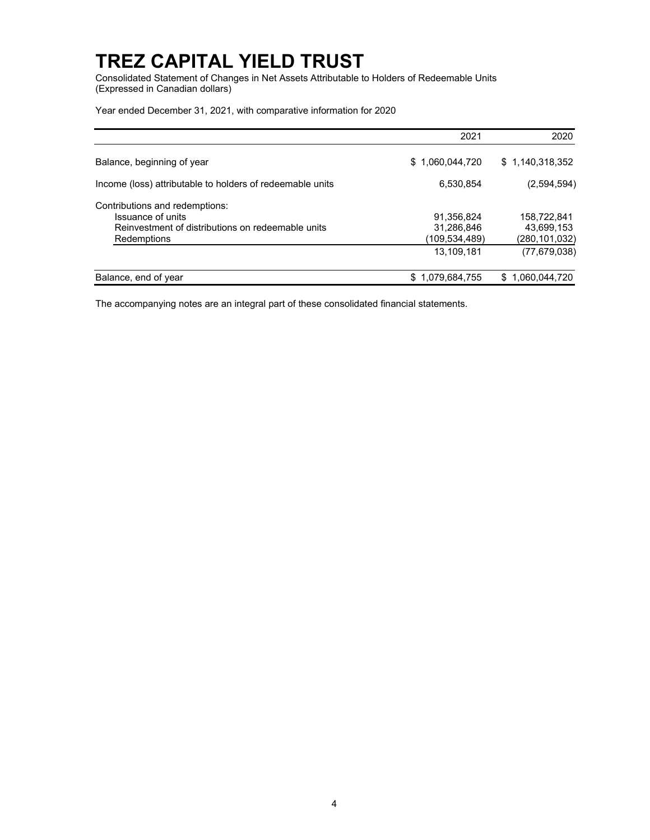Consolidated Statement of Changes in Net Assets Attributable to Holders of Redeemable Units (Expressed in Canadian dollars)

Year ended December 31, 2021, with comparative information for 2020

|                                                           | 2021                 | 2020                 |
|-----------------------------------------------------------|----------------------|----------------------|
| Balance, beginning of year                                | 1,060,044,720<br>\$. | \$1,140,318,352      |
| Income (loss) attributable to holders of redeemable units | 6,530,854            | (2,594,594)          |
| Contributions and redemptions:                            |                      |                      |
| Issuance of units                                         | 91,356,824           | 158.722.841          |
| Reinvestment of distributions on redeemable units         | 31,286,846           | 43,699,153           |
| Redemptions                                               | (109,534,489)        | (280,101,032)        |
|                                                           | 13,109,181           | (77, 679, 038)       |
| Balance, end of year                                      | \$1,079,684,755      | 1,060,044,720<br>\$. |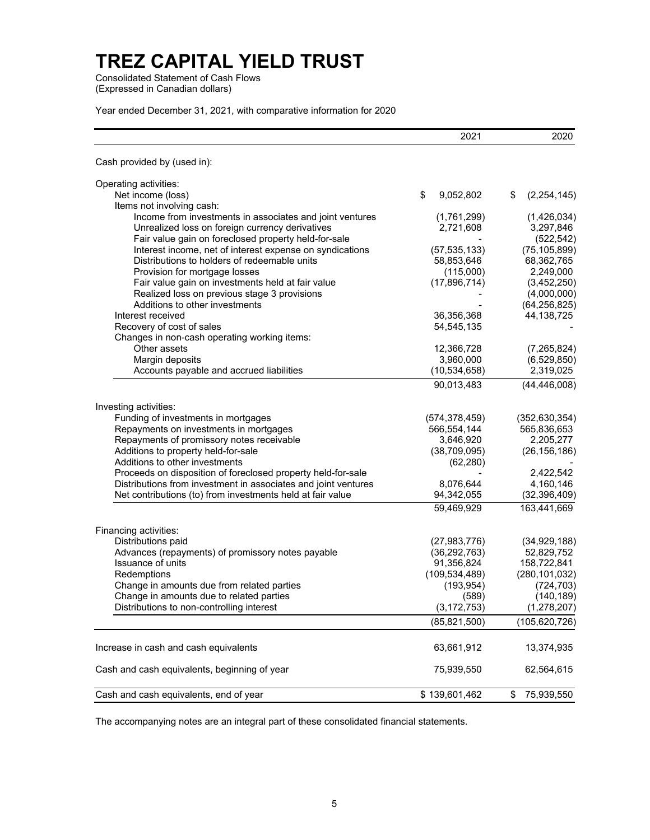Consolidated Statement of Cash Flows (Expressed in Canadian dollars)

Year ended December 31, 2021, with comparative information for 2020

|                                                                                                                                                                                            | 2021                                                          | 2020                                                          |
|--------------------------------------------------------------------------------------------------------------------------------------------------------------------------------------------|---------------------------------------------------------------|---------------------------------------------------------------|
| Cash provided by (used in):                                                                                                                                                                |                                                               |                                                               |
| Operating activities:                                                                                                                                                                      |                                                               |                                                               |
| Net income (loss)                                                                                                                                                                          | \$<br>9,052,802                                               | (2, 254, 145)<br>\$                                           |
| Items not involving cash:                                                                                                                                                                  |                                                               |                                                               |
| Income from investments in associates and joint ventures                                                                                                                                   | (1,761,299)                                                   | (1,426,034)                                                   |
| Unrealized loss on foreign currency derivatives                                                                                                                                            | 2,721,608                                                     | 3,297,846                                                     |
| Fair value gain on foreclosed property held-for-sale                                                                                                                                       |                                                               | (522, 542)                                                    |
| Interest income, net of interest expense on syndications                                                                                                                                   | (57, 535, 133)                                                | (75, 105, 899)                                                |
| Distributions to holders of redeemable units                                                                                                                                               | 58,853,646                                                    | 68,362,765                                                    |
| Provision for mortgage losses                                                                                                                                                              | (115,000)                                                     | 2,249,000                                                     |
| Fair value gain on investments held at fair value                                                                                                                                          | (17,896,714)                                                  | (3,452,250)                                                   |
| Realized loss on previous stage 3 provisions<br>Additions to other investments                                                                                                             |                                                               | (4,000,000)                                                   |
| Interest received                                                                                                                                                                          | 36,356,368                                                    | (64, 256, 825)<br>44,138,725                                  |
| Recovery of cost of sales                                                                                                                                                                  | 54, 545, 135                                                  |                                                               |
| Changes in non-cash operating working items:                                                                                                                                               |                                                               |                                                               |
| Other assets                                                                                                                                                                               | 12,366,728                                                    | (7, 265, 824)                                                 |
| Margin deposits                                                                                                                                                                            | 3,960,000                                                     | (6,529,850)                                                   |
| Accounts payable and accrued liabilities                                                                                                                                                   | (10, 534, 658)                                                | 2,319,025                                                     |
|                                                                                                                                                                                            | 90,013,483                                                    | (44, 446, 008)                                                |
| Investing activities:<br>Funding of investments in mortgages<br>Repayments on investments in mortgages<br>Repayments of promissory notes receivable<br>Additions to property held-for-sale | (574, 378, 459)<br>566,554,144<br>3,646,920<br>(38, 709, 095) | (352, 630, 354)<br>565,836,653<br>2,205,277<br>(26, 156, 186) |
| Additions to other investments                                                                                                                                                             | (62, 280)                                                     |                                                               |
| Proceeds on disposition of foreclosed property held-for-sale                                                                                                                               |                                                               | 2,422,542                                                     |
| Distributions from investment in associates and joint ventures                                                                                                                             | 8,076,644                                                     | 4,160,146                                                     |
| Net contributions (to) from investments held at fair value                                                                                                                                 | 94,342,055                                                    | (32, 396, 409)                                                |
|                                                                                                                                                                                            | 59,469,929                                                    | 163,441,669                                                   |
| Financing activities:                                                                                                                                                                      |                                                               |                                                               |
| Distributions paid                                                                                                                                                                         | (27, 983, 776)                                                | (34, 929, 188)                                                |
| Advances (repayments) of promissory notes payable                                                                                                                                          | (36, 292, 763)                                                | 52,829,752                                                    |
| Issuance of units                                                                                                                                                                          | 91,356,824                                                    | 158,722,841                                                   |
| Redemptions                                                                                                                                                                                | (109, 534, 489)                                               | (280, 101, 032)                                               |
| Change in amounts due from related parties                                                                                                                                                 | (193, 954)                                                    | (724, 703)                                                    |
| Change in amounts due to related parties                                                                                                                                                   | (589)                                                         | (140, 189)                                                    |
| Distributions to non-controlling interest                                                                                                                                                  | (3, 172, 753)                                                 | (1,278,207)                                                   |
|                                                                                                                                                                                            | (85, 821, 500)                                                | (105, 620, 726)                                               |
| Increase in cash and cash equivalents                                                                                                                                                      | 63,661,912                                                    | 13,374,935                                                    |
| Cash and cash equivalents, beginning of year                                                                                                                                               | 75,939,550                                                    | 62,564,615                                                    |
| Cash and cash equivalents, end of year                                                                                                                                                     | \$139,601,462                                                 | 75,939,550<br>\$                                              |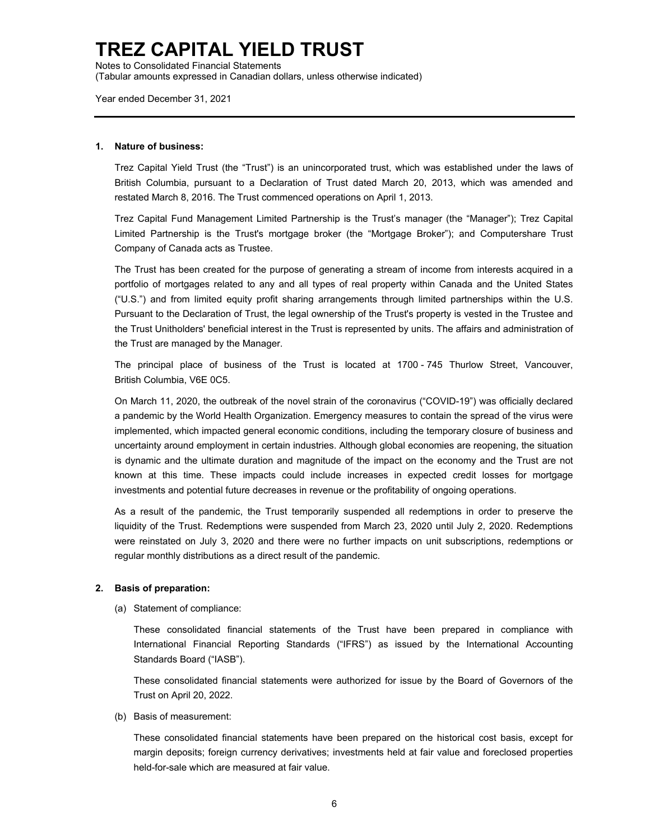Notes to Consolidated Financial Statements (Tabular amounts expressed in Canadian dollars, unless otherwise indicated)

Year ended December 31, 2021

#### **1. Nature of business:**

Trez Capital Yield Trust (the "Trust") is an unincorporated trust, which was established under the laws of British Columbia, pursuant to a Declaration of Trust dated March 20, 2013, which was amended and restated March 8, 2016. The Trust commenced operations on April 1, 2013.

Trez Capital Fund Management Limited Partnership is the Trust's manager (the "Manager"); Trez Capital Limited Partnership is the Trust's mortgage broker (the "Mortgage Broker"); and Computershare Trust Company of Canada acts as Trustee.

The Trust has been created for the purpose of generating a stream of income from interests acquired in a portfolio of mortgages related to any and all types of real property within Canada and the United States ("U.S.") and from limited equity profit sharing arrangements through limited partnerships within the U.S. Pursuant to the Declaration of Trust, the legal ownership of the Trust's property is vested in the Trustee and the Trust Unitholders' beneficial interest in the Trust is represented by units. The affairs and administration of the Trust are managed by the Manager.

The principal place of business of the Trust is located at 1700 - 745 Thurlow Street, Vancouver, British Columbia, V6E 0C5.

On March 11, 2020, the outbreak of the novel strain of the coronavirus ("COVID-19") was officially declared a pandemic by the World Health Organization. Emergency measures to contain the spread of the virus were implemented, which impacted general economic conditions, including the temporary closure of business and uncertainty around employment in certain industries. Although global economies are reopening, the situation is dynamic and the ultimate duration and magnitude of the impact on the economy and the Trust are not known at this time. These impacts could include increases in expected credit losses for mortgage investments and potential future decreases in revenue or the profitability of ongoing operations.

As a result of the pandemic, the Trust temporarily suspended all redemptions in order to preserve the liquidity of the Trust. Redemptions were suspended from March 23, 2020 until July 2, 2020. Redemptions were reinstated on July 3, 2020 and there were no further impacts on unit subscriptions, redemptions or regular monthly distributions as a direct result of the pandemic.

### **2. Basis of preparation:**

(a) Statement of compliance:

These consolidated financial statements of the Trust have been prepared in compliance with International Financial Reporting Standards ("IFRS") as issued by the International Accounting Standards Board ("IASB").

These consolidated financial statements were authorized for issue by the Board of Governors of the Trust on April 20, 2022.

(b) Basis of measurement:

These consolidated financial statements have been prepared on the historical cost basis, except for margin deposits; foreign currency derivatives; investments held at fair value and foreclosed properties held-for-sale which are measured at fair value.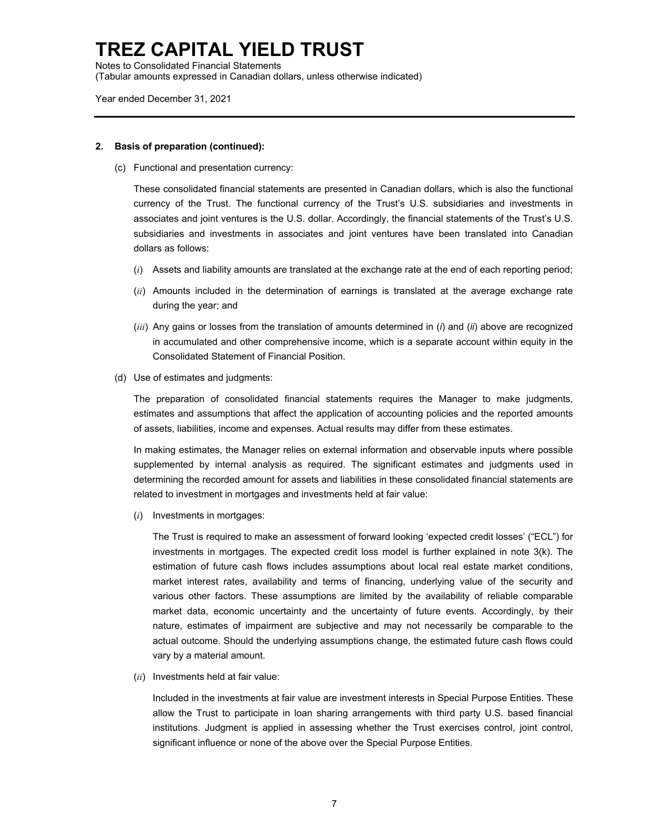Notes to Consolidated Financial Statements (Tabular amounts expressed in Canadian dollars, unless otherwise indicated)

Year ended December 31, 2021

### **2. Basis of preparation (continued):**

(c) Functional and presentation currency:

These consolidated financial statements are presented in Canadian dollars, which is also the functional currency of the Trust. The functional currency of the Trust's U.S. subsidiaries and investments in associates and joint ventures is the U.S. dollar. Accordingly, the financial statements of the Trust's U.S. subsidiaries and investments in associates and joint ventures have been translated into Canadian dollars as follows:

- (*i*) Assets and liability amounts are translated at the exchange rate at the end of each reporting period;
- (*ii*) Amounts included in the determination of earnings is translated at the average exchange rate during the year; and
- (*iii*) Any gains or losses from the translation of amounts determined in (*i*) and (*ii*) above are recognized in accumulated and other comprehensive income, which is a separate account within equity in the Consolidated Statement of Financial Position.
- (d) Use of estimates and judgments:

The preparation of consolidated financial statements requires the Manager to make judgments, estimates and assumptions that affect the application of accounting policies and the reported amounts of assets, liabilities, income and expenses. Actual results may differ from these estimates.

In making estimates, the Manager relies on external information and observable inputs where possible supplemented by internal analysis as required. The significant estimates and judgments used in determining the recorded amount for assets and liabilities in these consolidated financial statements are related to investment in mortgages and investments held at fair value:

(*i*) Investments in mortgages:

The Trust is required to make an assessment of forward looking 'expected credit losses' ("ECL") for investments in mortgages. The expected credit loss model is further explained in note 3(k). The estimation of future cash flows includes assumptions about local real estate market conditions, market interest rates, availability and terms of financing, underlying value of the security and various other factors. These assumptions are limited by the availability of reliable comparable market data, economic uncertainty and the uncertainty of future events. Accordingly, by their nature, estimates of impairment are subjective and may not necessarily be comparable to the actual outcome. Should the underlying assumptions change, the estimated future cash flows could vary by a material amount.

(*ii*) Investments held at fair value:

Included in the investments at fair value are investment interests in Special Purpose Entities. These allow the Trust to participate in loan sharing arrangements with third party U.S. based financial institutions. Judgment is applied in assessing whether the Trust exercises control, joint control, significant influence or none of the above over the Special Purpose Entities.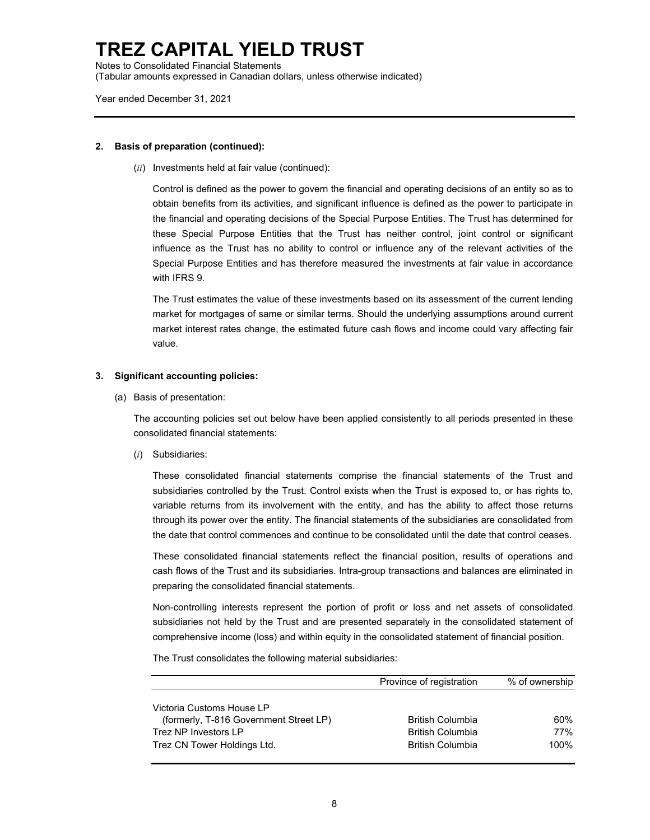Notes to Consolidated Financial Statements (Tabular amounts expressed in Canadian dollars, unless otherwise indicated)

Year ended December 31, 2021

### **2. Basis of preparation (continued):**

(*ii*) Investments held at fair value (continued):

Control is defined as the power to govern the financial and operating decisions of an entity so as to obtain benefits from its activities, and significant influence is defined as the power to participate in the financial and operating decisions of the Special Purpose Entities. The Trust has determined for these Special Purpose Entities that the Trust has neither control, joint control or significant influence as the Trust has no ability to control or influence any of the relevant activities of the Special Purpose Entities and has therefore measured the investments at fair value in accordance with IFRS 9.

The Trust estimates the value of these investments based on its assessment of the current lending market for mortgages of same or similar terms. Should the underlying assumptions around current market interest rates change, the estimated future cash flows and income could vary affecting fair value.

### **3. Significant accounting policies:**

(a) Basis of presentation:

The accounting policies set out below have been applied consistently to all periods presented in these consolidated financial statements:

(*i*) Subsidiaries:

These consolidated financial statements comprise the financial statements of the Trust and subsidiaries controlled by the Trust. Control exists when the Trust is exposed to, or has rights to, variable returns from its involvement with the entity, and has the ability to affect those returns through its power over the entity. The financial statements of the subsidiaries are consolidated from the date that control commences and continue to be consolidated until the date that control ceases.

These consolidated financial statements reflect the financial position, results of operations and cash flows of the Trust and its subsidiaries. Intra-group transactions and balances are eliminated in preparing the consolidated financial statements.

Non-controlling interests represent the portion of profit or loss and net assets of consolidated subsidiaries not held by the Trust and are presented separately in the consolidated statement of comprehensive income (loss) and within equity in the consolidated statement of financial position.

The Trust consolidates the following material subsidiaries:

|                                        | Province of registration | % of ownership |
|----------------------------------------|--------------------------|----------------|
| Victoria Customs House LP              |                          |                |
| (formerly, T-816 Government Street LP) | <b>British Columbia</b>  | 60%            |
| Trez NP Investors LP                   | <b>British Columbia</b>  | 77%            |
| Trez CN Tower Holdings Ltd.            | <b>British Columbia</b>  | 100%           |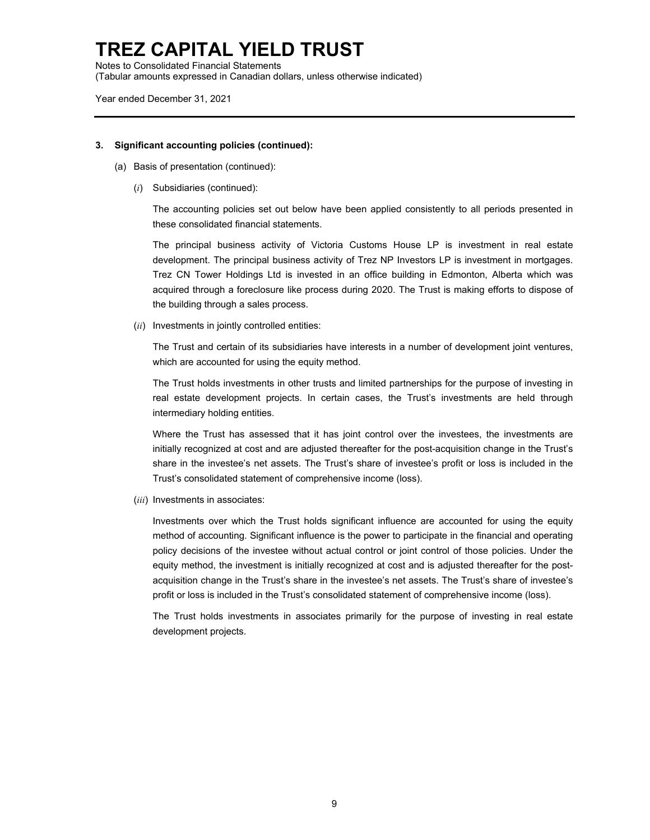Notes to Consolidated Financial Statements (Tabular amounts expressed in Canadian dollars, unless otherwise indicated)

Year ended December 31, 2021

### **3. Significant accounting policies (continued):**

- (a) Basis of presentation (continued):
	- (*i*) Subsidiaries (continued):

The accounting policies set out below have been applied consistently to all periods presented in these consolidated financial statements.

The principal business activity of Victoria Customs House LP is investment in real estate development. The principal business activity of Trez NP Investors LP is investment in mortgages. Trez CN Tower Holdings Ltd is invested in an office building in Edmonton, Alberta which was acquired through a foreclosure like process during 2020. The Trust is making efforts to dispose of the building through a sales process.

(*ii*) Investments in jointly controlled entities:

The Trust and certain of its subsidiaries have interests in a number of development joint ventures, which are accounted for using the equity method.

The Trust holds investments in other trusts and limited partnerships for the purpose of investing in real estate development projects. In certain cases, the Trust's investments are held through intermediary holding entities.

Where the Trust has assessed that it has joint control over the investees, the investments are initially recognized at cost and are adjusted thereafter for the post-acquisition change in the Trust's share in the investee's net assets. The Trust's share of investee's profit or loss is included in the Trust's consolidated statement of comprehensive income (loss).

(*iii*) Investments in associates:

Investments over which the Trust holds significant influence are accounted for using the equity method of accounting. Significant influence is the power to participate in the financial and operating policy decisions of the investee without actual control or joint control of those policies. Under the equity method, the investment is initially recognized at cost and is adjusted thereafter for the postacquisition change in the Trust's share in the investee's net assets. The Trust's share of investee's profit or loss is included in the Trust's consolidated statement of comprehensive income (loss).

The Trust holds investments in associates primarily for the purpose of investing in real estate development projects.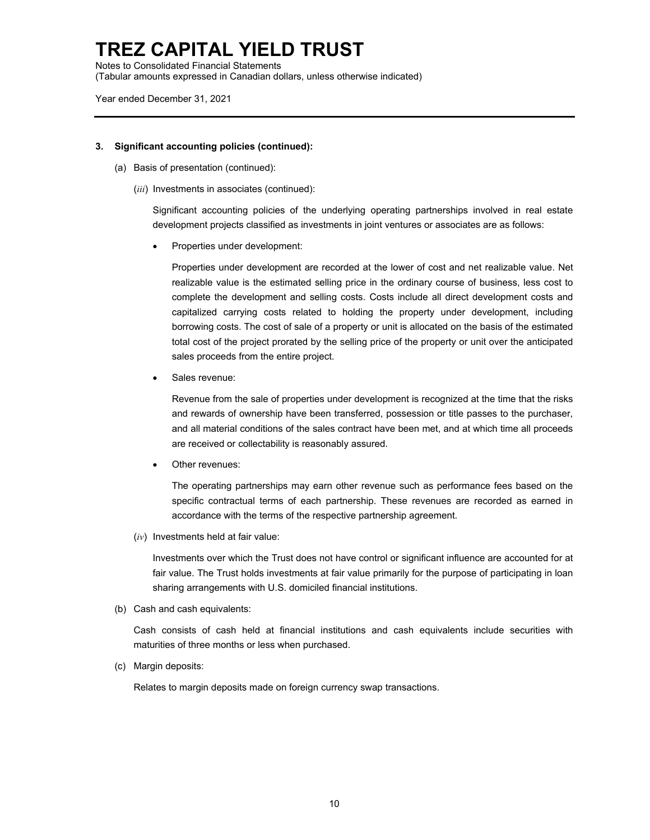Notes to Consolidated Financial Statements (Tabular amounts expressed in Canadian dollars, unless otherwise indicated)

Year ended December 31, 2021

### **3. Significant accounting policies (continued):**

- (a) Basis of presentation (continued):
	- (*iii*) Investments in associates (continued):

Significant accounting policies of the underlying operating partnerships involved in real estate development projects classified as investments in joint ventures or associates are as follows:

Properties under development:

Properties under development are recorded at the lower of cost and net realizable value. Net realizable value is the estimated selling price in the ordinary course of business, less cost to complete the development and selling costs. Costs include all direct development costs and capitalized carrying costs related to holding the property under development, including borrowing costs. The cost of sale of a property or unit is allocated on the basis of the estimated total cost of the project prorated by the selling price of the property or unit over the anticipated sales proceeds from the entire project.

Sales revenue:

Revenue from the sale of properties under development is recognized at the time that the risks and rewards of ownership have been transferred, possession or title passes to the purchaser, and all material conditions of the sales contract have been met, and at which time all proceeds are received or collectability is reasonably assured.

Other revenues:

The operating partnerships may earn other revenue such as performance fees based on the specific contractual terms of each partnership. These revenues are recorded as earned in accordance with the terms of the respective partnership agreement.

(*iv*) Investments held at fair value:

Investments over which the Trust does not have control or significant influence are accounted for at fair value. The Trust holds investments at fair value primarily for the purpose of participating in loan sharing arrangements with U.S. domiciled financial institutions.

(b) Cash and cash equivalents:

Cash consists of cash held at financial institutions and cash equivalents include securities with maturities of three months or less when purchased.

(c) Margin deposits:

Relates to margin deposits made on foreign currency swap transactions.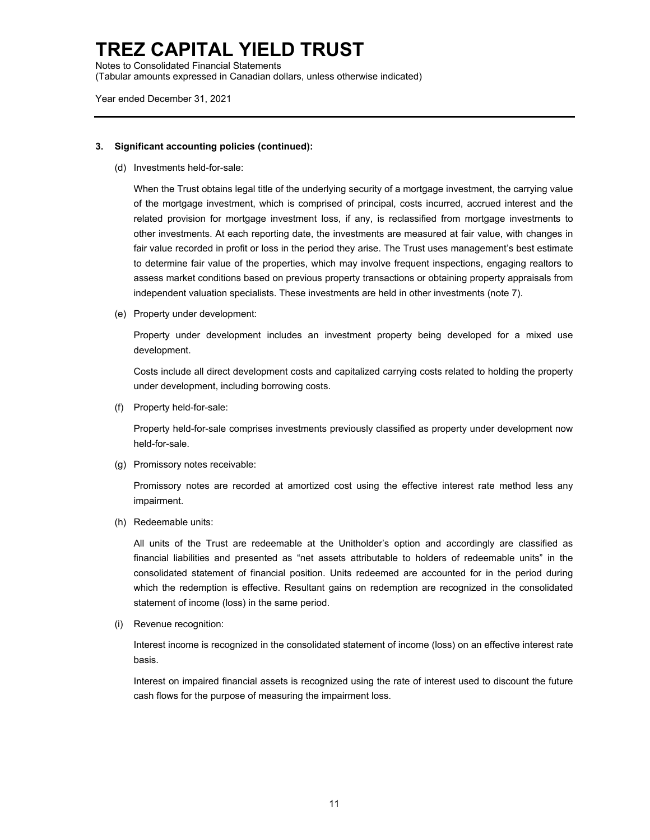Notes to Consolidated Financial Statements (Tabular amounts expressed in Canadian dollars, unless otherwise indicated)

Year ended December 31, 2021

#### **3. Significant accounting policies (continued):**

(d) Investments held-for-sale:

When the Trust obtains legal title of the underlying security of a mortgage investment, the carrying value of the mortgage investment, which is comprised of principal, costs incurred, accrued interest and the related provision for mortgage investment loss, if any, is reclassified from mortgage investments to other investments. At each reporting date, the investments are measured at fair value, with changes in fair value recorded in profit or loss in the period they arise. The Trust uses management's best estimate to determine fair value of the properties, which may involve frequent inspections, engaging realtors to assess market conditions based on previous property transactions or obtaining property appraisals from independent valuation specialists. These investments are held in other investments (note 7).

(e) Property under development:

Property under development includes an investment property being developed for a mixed use development.

Costs include all direct development costs and capitalized carrying costs related to holding the property under development, including borrowing costs.

(f) Property held-for-sale:

Property held-for-sale comprises investments previously classified as property under development now held-for-sale.

(g) Promissory notes receivable:

Promissory notes are recorded at amortized cost using the effective interest rate method less any impairment.

(h) Redeemable units:

All units of the Trust are redeemable at the Unitholder's option and accordingly are classified as financial liabilities and presented as "net assets attributable to holders of redeemable units" in the consolidated statement of financial position. Units redeemed are accounted for in the period during which the redemption is effective. Resultant gains on redemption are recognized in the consolidated statement of income (loss) in the same period.

(i) Revenue recognition:

Interest income is recognized in the consolidated statement of income (loss) on an effective interest rate basis.

Interest on impaired financial assets is recognized using the rate of interest used to discount the future cash flows for the purpose of measuring the impairment loss.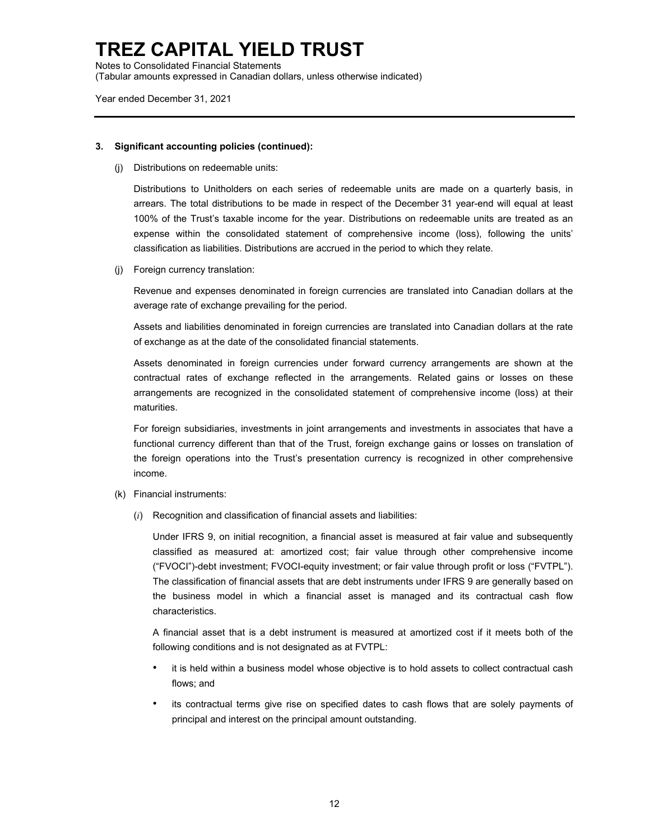Notes to Consolidated Financial Statements (Tabular amounts expressed in Canadian dollars, unless otherwise indicated)

Year ended December 31, 2021

#### **3. Significant accounting policies (continued):**

(j) Distributions on redeemable units:

Distributions to Unitholders on each series of redeemable units are made on a quarterly basis, in arrears. The total distributions to be made in respect of the December 31 year-end will equal at least 100% of the Trust's taxable income for the year. Distributions on redeemable units are treated as an expense within the consolidated statement of comprehensive income (loss), following the units' classification as liabilities. Distributions are accrued in the period to which they relate.

(j) Foreign currency translation:

Revenue and expenses denominated in foreign currencies are translated into Canadian dollars at the average rate of exchange prevailing for the period.

Assets and liabilities denominated in foreign currencies are translated into Canadian dollars at the rate of exchange as at the date of the consolidated financial statements.

Assets denominated in foreign currencies under forward currency arrangements are shown at the contractual rates of exchange reflected in the arrangements. Related gains or losses on these arrangements are recognized in the consolidated statement of comprehensive income (loss) at their maturities.

For foreign subsidiaries, investments in joint arrangements and investments in associates that have a functional currency different than that of the Trust, foreign exchange gains or losses on translation of the foreign operations into the Trust's presentation currency is recognized in other comprehensive income.

- (k) Financial instruments:
	- (*i*) Recognition and classification of financial assets and liabilities:

Under IFRS 9, on initial recognition, a financial asset is measured at fair value and subsequently classified as measured at: amortized cost; fair value through other comprehensive income ("FVOCI")-debt investment; FVOCI-equity investment; or fair value through profit or loss ("FVTPL"). The classification of financial assets that are debt instruments under IFRS 9 are generally based on the business model in which a financial asset is managed and its contractual cash flow characteristics.

A financial asset that is a debt instrument is measured at amortized cost if it meets both of the following conditions and is not designated as at FVTPL:

- it is held within a business model whose objective is to hold assets to collect contractual cash flows; and
- its contractual terms give rise on specified dates to cash flows that are solely payments of principal and interest on the principal amount outstanding.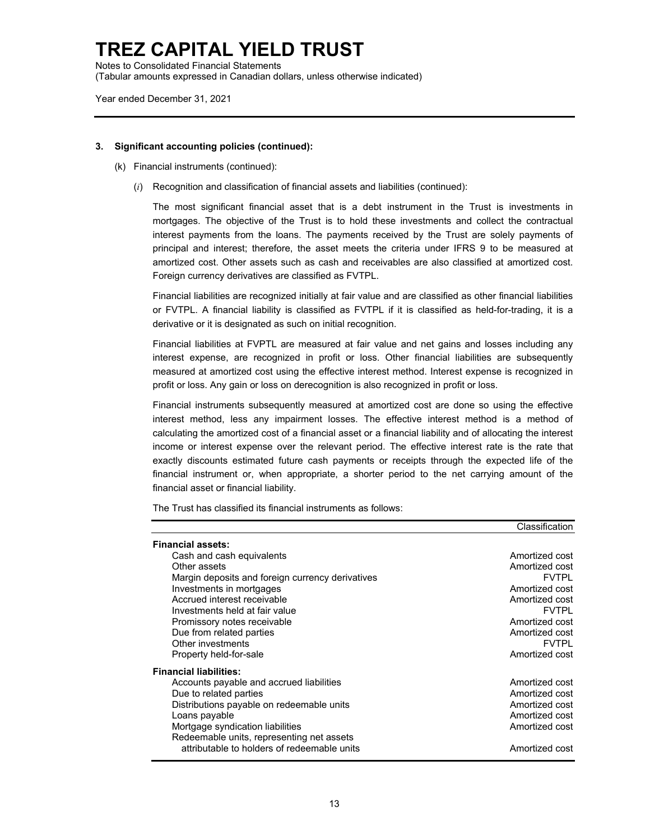Notes to Consolidated Financial Statements (Tabular amounts expressed in Canadian dollars, unless otherwise indicated)

Year ended December 31, 2021

### **3. Significant accounting policies (continued):**

- (k) Financial instruments (continued):
	- (*i*) Recognition and classification of financial assets and liabilities (continued):

The most significant financial asset that is a debt instrument in the Trust is investments in mortgages. The objective of the Trust is to hold these investments and collect the contractual interest payments from the loans. The payments received by the Trust are solely payments of principal and interest; therefore, the asset meets the criteria under IFRS 9 to be measured at amortized cost. Other assets such as cash and receivables are also classified at amortized cost. Foreign currency derivatives are classified as FVTPL.

Financial liabilities are recognized initially at fair value and are classified as other financial liabilities or FVTPL. A financial liability is classified as FVTPL if it is classified as held-for-trading, it is a derivative or it is designated as such on initial recognition.

Financial liabilities at FVPTL are measured at fair value and net gains and losses including any interest expense, are recognized in profit or loss. Other financial liabilities are subsequently measured at amortized cost using the effective interest method. Interest expense is recognized in profit or loss. Any gain or loss on derecognition is also recognized in profit or loss.

Financial instruments subsequently measured at amortized cost are done so using the effective interest method, less any impairment losses. The effective interest method is a method of calculating the amortized cost of a financial asset or a financial liability and of allocating the interest income or interest expense over the relevant period. The effective interest rate is the rate that exactly discounts estimated future cash payments or receipts through the expected life of the financial instrument or, when appropriate, a shorter period to the net carrying amount of the financial asset or financial liability.

The Trust has classified its financial instruments as follows:

|                                                  | Classification |
|--------------------------------------------------|----------------|
| <b>Financial assets:</b>                         |                |
| Cash and cash equivalents                        | Amortized cost |
| Other assets                                     | Amortized cost |
| Margin deposits and foreign currency derivatives | <b>FVTPI</b>   |
| Investments in mortgages                         | Amortized cost |
| Accrued interest receivable                      | Amortized cost |
| Investments held at fair value                   | <b>FVTPI</b>   |
| Promissory notes receivable                      | Amortized cost |
| Due from related parties                         | Amortized cost |
| Other investments                                | <b>FVTPI</b>   |
| Property held-for-sale                           | Amortized cost |
| <b>Financial liabilities:</b>                    |                |
| Accounts payable and accrued liabilities         | Amortized cost |
| Due to related parties                           | Amortized cost |
| Distributions payable on redeemable units        | Amortized cost |
| Loans payable                                    | Amortized cost |
| Mortgage syndication liabilities                 | Amortized cost |
| Redeemable units, representing net assets        |                |
| attributable to holders of redeemable units      | Amortized cost |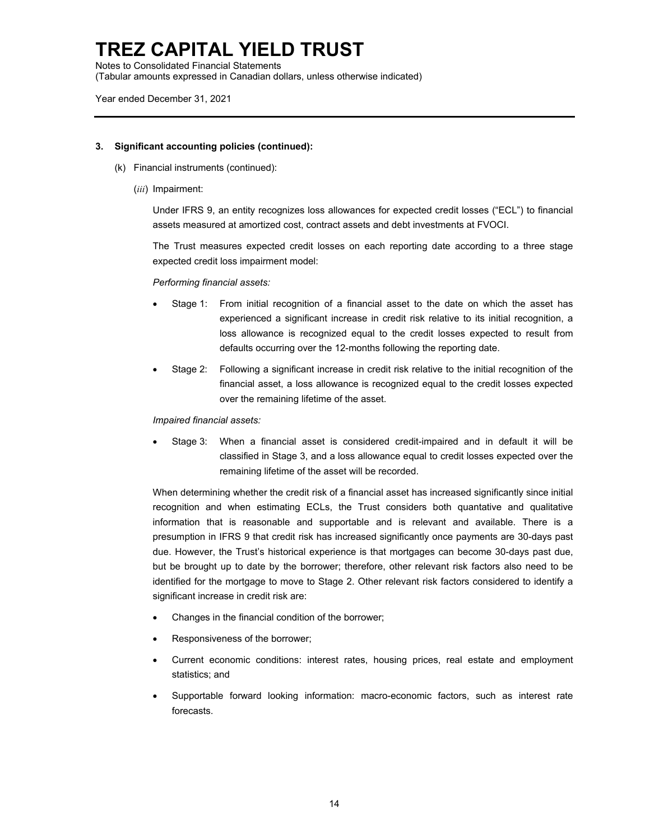Notes to Consolidated Financial Statements (Tabular amounts expressed in Canadian dollars, unless otherwise indicated)

Year ended December 31, 2021

### **3. Significant accounting policies (continued):**

- (k) Financial instruments (continued):
	- (*iii*) Impairment:

Under IFRS 9, an entity recognizes loss allowances for expected credit losses ("ECL") to financial assets measured at amortized cost, contract assets and debt investments at FVOCI.

The Trust measures expected credit losses on each reporting date according to a three stage expected credit loss impairment model:

#### *Performing financial assets:*

- Stage 1: From initial recognition of a financial asset to the date on which the asset has experienced a significant increase in credit risk relative to its initial recognition, a loss allowance is recognized equal to the credit losses expected to result from defaults occurring over the 12-months following the reporting date.
- Stage 2: Following a significant increase in credit risk relative to the initial recognition of the financial asset, a loss allowance is recognized equal to the credit losses expected over the remaining lifetime of the asset.

*Impaired financial assets:* 

 Stage 3: When a financial asset is considered credit-impaired and in default it will be classified in Stage 3, and a loss allowance equal to credit losses expected over the remaining lifetime of the asset will be recorded.

When determining whether the credit risk of a financial asset has increased significantly since initial recognition and when estimating ECLs, the Trust considers both quantative and qualitative information that is reasonable and supportable and is relevant and available. There is a presumption in IFRS 9 that credit risk has increased significantly once payments are 30-days past due. However, the Trust's historical experience is that mortgages can become 30-days past due, but be brought up to date by the borrower; therefore, other relevant risk factors also need to be identified for the mortgage to move to Stage 2. Other relevant risk factors considered to identify a significant increase in credit risk are:

- Changes in the financial condition of the borrower;
- Responsiveness of the borrower;
- Current economic conditions: interest rates, housing prices, real estate and employment statistics; and
- Supportable forward looking information: macro-economic factors, such as interest rate forecasts.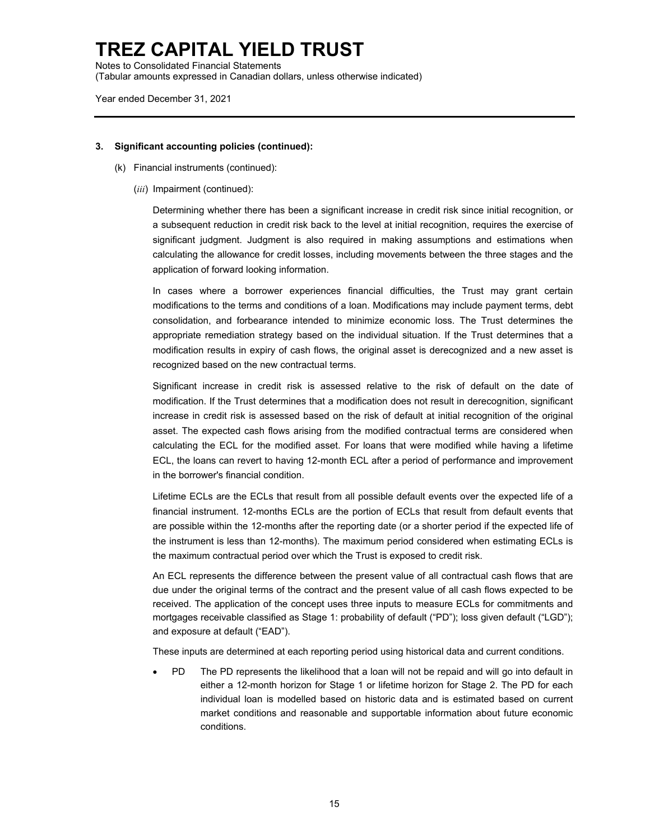Notes to Consolidated Financial Statements (Tabular amounts expressed in Canadian dollars, unless otherwise indicated)

Year ended December 31, 2021

### **3. Significant accounting policies (continued):**

- (k) Financial instruments (continued):
	- (*iii*) Impairment (continued):

Determining whether there has been a significant increase in credit risk since initial recognition, or a subsequent reduction in credit risk back to the level at initial recognition, requires the exercise of significant judgment. Judgment is also required in making assumptions and estimations when calculating the allowance for credit losses, including movements between the three stages and the application of forward looking information.

In cases where a borrower experiences financial difficulties, the Trust may grant certain modifications to the terms and conditions of a loan. Modifications may include payment terms, debt consolidation, and forbearance intended to minimize economic loss. The Trust determines the appropriate remediation strategy based on the individual situation. If the Trust determines that a modification results in expiry of cash flows, the original asset is derecognized and a new asset is recognized based on the new contractual terms.

Significant increase in credit risk is assessed relative to the risk of default on the date of modification. If the Trust determines that a modification does not result in derecognition, significant increase in credit risk is assessed based on the risk of default at initial recognition of the original asset. The expected cash flows arising from the modified contractual terms are considered when calculating the ECL for the modified asset. For loans that were modified while having a lifetime ECL, the loans can revert to having 12-month ECL after a period of performance and improvement in the borrower's financial condition.

Lifetime ECLs are the ECLs that result from all possible default events over the expected life of a financial instrument. 12-months ECLs are the portion of ECLs that result from default events that are possible within the 12-months after the reporting date (or a shorter period if the expected life of the instrument is less than 12-months). The maximum period considered when estimating ECLs is the maximum contractual period over which the Trust is exposed to credit risk.

An ECL represents the difference between the present value of all contractual cash flows that are due under the original terms of the contract and the present value of all cash flows expected to be received. The application of the concept uses three inputs to measure ECLs for commitments and mortgages receivable classified as Stage 1: probability of default ("PD"); loss given default ("LGD"); and exposure at default ("EAD").

These inputs are determined at each reporting period using historical data and current conditions.

PD The PD represents the likelihood that a loan will not be repaid and will go into default in either a 12-month horizon for Stage 1 or lifetime horizon for Stage 2. The PD for each individual loan is modelled based on historic data and is estimated based on current market conditions and reasonable and supportable information about future economic conditions.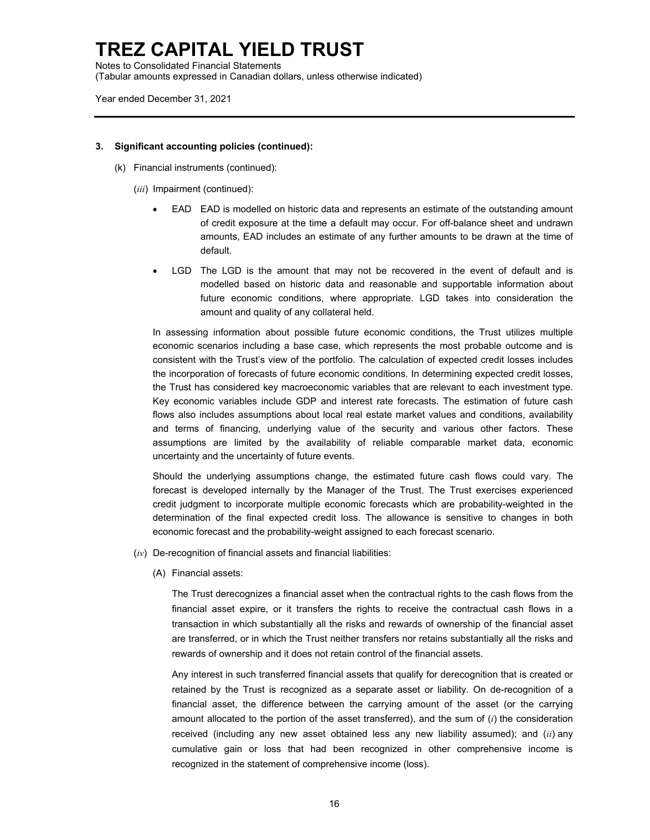Notes to Consolidated Financial Statements (Tabular amounts expressed in Canadian dollars, unless otherwise indicated)

Year ended December 31, 2021

#### **3. Significant accounting policies (continued):**

- (k) Financial instruments (continued):
	- (*iii*) Impairment (continued):
		- EAD EAD is modelled on historic data and represents an estimate of the outstanding amount of credit exposure at the time a default may occur. For off-balance sheet and undrawn amounts, EAD includes an estimate of any further amounts to be drawn at the time of default.
		- LGD The LGD is the amount that may not be recovered in the event of default and is modelled based on historic data and reasonable and supportable information about future economic conditions, where appropriate. LGD takes into consideration the amount and quality of any collateral held.

In assessing information about possible future economic conditions, the Trust utilizes multiple economic scenarios including a base case, which represents the most probable outcome and is consistent with the Trust's view of the portfolio. The calculation of expected credit losses includes the incorporation of forecasts of future economic conditions. In determining expected credit losses, the Trust has considered key macroeconomic variables that are relevant to each investment type. Key economic variables include GDP and interest rate forecasts. The estimation of future cash flows also includes assumptions about local real estate market values and conditions, availability and terms of financing, underlying value of the security and various other factors. These assumptions are limited by the availability of reliable comparable market data, economic uncertainty and the uncertainty of future events.

Should the underlying assumptions change, the estimated future cash flows could vary. The forecast is developed internally by the Manager of the Trust. The Trust exercises experienced credit judgment to incorporate multiple economic forecasts which are probability-weighted in the determination of the final expected credit loss. The allowance is sensitive to changes in both economic forecast and the probability-weight assigned to each forecast scenario.

- (*iv*) De-recognition of financial assets and financial liabilities:
	- (A) Financial assets:

The Trust derecognizes a financial asset when the contractual rights to the cash flows from the financial asset expire, or it transfers the rights to receive the contractual cash flows in a transaction in which substantially all the risks and rewards of ownership of the financial asset are transferred, or in which the Trust neither transfers nor retains substantially all the risks and rewards of ownership and it does not retain control of the financial assets.

Any interest in such transferred financial assets that qualify for derecognition that is created or retained by the Trust is recognized as a separate asset or liability. On de-recognition of a financial asset, the difference between the carrying amount of the asset (or the carrying amount allocated to the portion of the asset transferred), and the sum of (*i*) the consideration received (including any new asset obtained less any new liability assumed); and (*ii*) any cumulative gain or loss that had been recognized in other comprehensive income is recognized in the statement of comprehensive income (loss).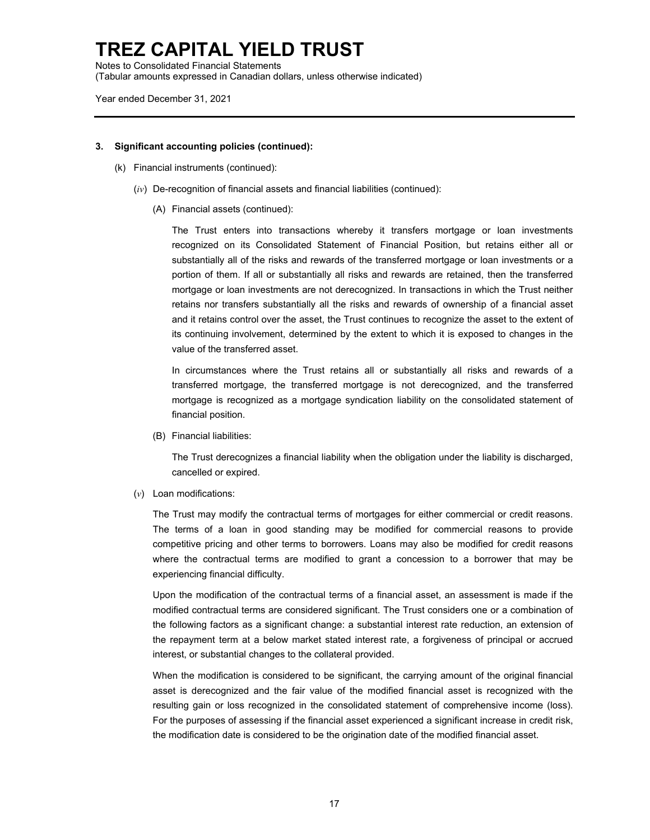Notes to Consolidated Financial Statements (Tabular amounts expressed in Canadian dollars, unless otherwise indicated)

Year ended December 31, 2021

### **3. Significant accounting policies (continued):**

- (k) Financial instruments (continued):
	- (*iv*) De-recognition of financial assets and financial liabilities (continued):
		- (A) Financial assets (continued):

The Trust enters into transactions whereby it transfers mortgage or loan investments recognized on its Consolidated Statement of Financial Position, but retains either all or substantially all of the risks and rewards of the transferred mortgage or loan investments or a portion of them. If all or substantially all risks and rewards are retained, then the transferred mortgage or loan investments are not derecognized. In transactions in which the Trust neither retains nor transfers substantially all the risks and rewards of ownership of a financial asset and it retains control over the asset, the Trust continues to recognize the asset to the extent of its continuing involvement, determined by the extent to which it is exposed to changes in the value of the transferred asset.

In circumstances where the Trust retains all or substantially all risks and rewards of a transferred mortgage, the transferred mortgage is not derecognized, and the transferred mortgage is recognized as a mortgage syndication liability on the consolidated statement of financial position.

(B) Financial liabilities:

The Trust derecognizes a financial liability when the obligation under the liability is discharged, cancelled or expired.

(*v*) Loan modifications:

The Trust may modify the contractual terms of mortgages for either commercial or credit reasons. The terms of a loan in good standing may be modified for commercial reasons to provide competitive pricing and other terms to borrowers. Loans may also be modified for credit reasons where the contractual terms are modified to grant a concession to a borrower that may be experiencing financial difficulty.

Upon the modification of the contractual terms of a financial asset, an assessment is made if the modified contractual terms are considered significant. The Trust considers one or a combination of the following factors as a significant change: a substantial interest rate reduction, an extension of the repayment term at a below market stated interest rate, a forgiveness of principal or accrued interest, or substantial changes to the collateral provided.

When the modification is considered to be significant, the carrying amount of the original financial asset is derecognized and the fair value of the modified financial asset is recognized with the resulting gain or loss recognized in the consolidated statement of comprehensive income (loss). For the purposes of assessing if the financial asset experienced a significant increase in credit risk, the modification date is considered to be the origination date of the modified financial asset.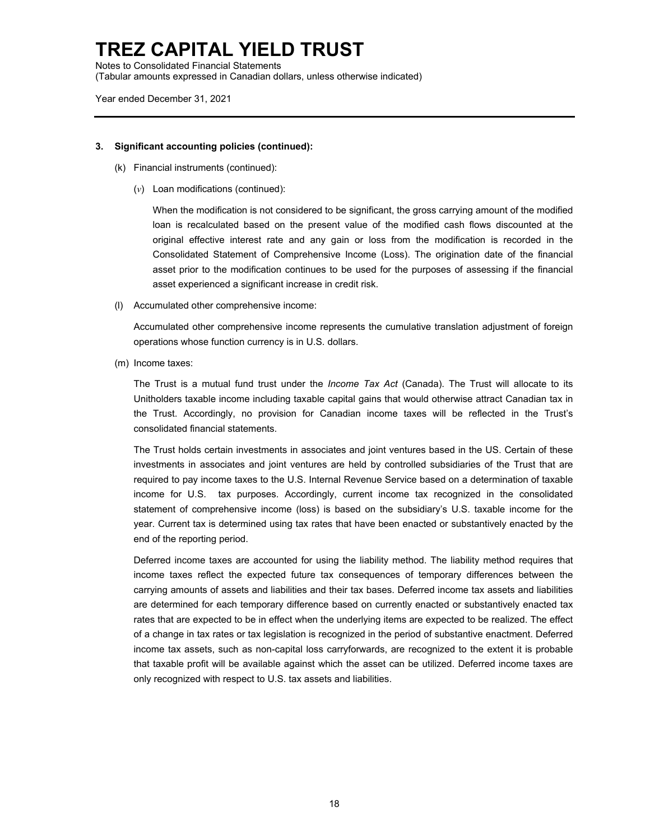Notes to Consolidated Financial Statements (Tabular amounts expressed in Canadian dollars, unless otherwise indicated)

Year ended December 31, 2021

### **3. Significant accounting policies (continued):**

- (k) Financial instruments (continued):
	- (*v*) Loan modifications (continued):

When the modification is not considered to be significant, the gross carrying amount of the modified loan is recalculated based on the present value of the modified cash flows discounted at the original effective interest rate and any gain or loss from the modification is recorded in the Consolidated Statement of Comprehensive Income (Loss). The origination date of the financial asset prior to the modification continues to be used for the purposes of assessing if the financial asset experienced a significant increase in credit risk.

(l) Accumulated other comprehensive income:

Accumulated other comprehensive income represents the cumulative translation adjustment of foreign operations whose function currency is in U.S. dollars.

(m) Income taxes:

The Trust is a mutual fund trust under the *Income Tax Act* (Canada). The Trust will allocate to its Unitholders taxable income including taxable capital gains that would otherwise attract Canadian tax in the Trust. Accordingly, no provision for Canadian income taxes will be reflected in the Trust's consolidated financial statements.

The Trust holds certain investments in associates and joint ventures based in the US. Certain of these investments in associates and joint ventures are held by controlled subsidiaries of the Trust that are required to pay income taxes to the U.S. Internal Revenue Service based on a determination of taxable income for U.S. tax purposes. Accordingly, current income tax recognized in the consolidated statement of comprehensive income (loss) is based on the subsidiary's U.S. taxable income for the year. Current tax is determined using tax rates that have been enacted or substantively enacted by the end of the reporting period.

Deferred income taxes are accounted for using the liability method. The liability method requires that income taxes reflect the expected future tax consequences of temporary differences between the carrying amounts of assets and liabilities and their tax bases. Deferred income tax assets and liabilities are determined for each temporary difference based on currently enacted or substantively enacted tax rates that are expected to be in effect when the underlying items are expected to be realized. The effect of a change in tax rates or tax legislation is recognized in the period of substantive enactment. Deferred income tax assets, such as non-capital loss carryforwards, are recognized to the extent it is probable that taxable profit will be available against which the asset can be utilized. Deferred income taxes are only recognized with respect to U.S. tax assets and liabilities.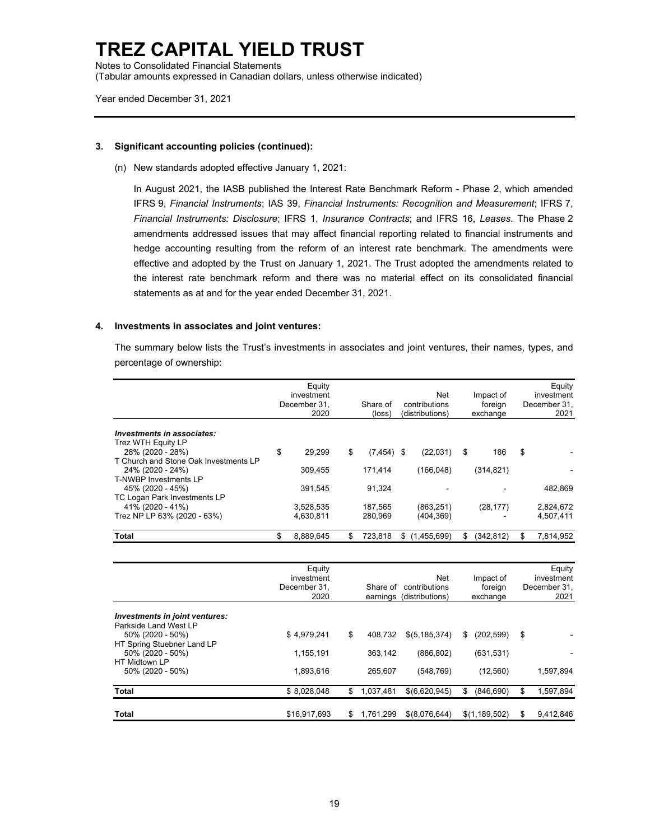Notes to Consolidated Financial Statements (Tabular amounts expressed in Canadian dollars, unless otherwise indicated)

Year ended December 31, 2021

#### **3. Significant accounting policies (continued):**

(n) New standards adopted effective January 1, 2021:

In August 2021, the IASB published the Interest Rate Benchmark Reform - Phase 2, which amended IFRS 9, *Financial Instruments*; IAS 39, *Financial Instruments: Recognition and Measurement*; IFRS 7, *Financial Instruments: Disclosure*; IFRS 1, *Insurance Contracts*; and IFRS 16, *Leases*. The Phase 2 amendments addressed issues that may affect financial reporting related to financial instruments and hedge accounting resulting from the reform of an interest rate benchmark. The amendments were effective and adopted by the Trust on January 1, 2021. The Trust adopted the amendments related to the interest rate benchmark reform and there was no material effect on its consolidated financial statements as at and for the year ended December 31, 2021.

### **4. Investments in associates and joint ventures:**

The summary below lists the Trust's investments in associates and joint ventures, their names, types, and percentage of ownership:

|                                                  | Equity<br>investment<br>December 31,<br>2020 | Share of<br>$(\text{loss})$ | <b>Net</b><br>contributions<br>(distributions) | Impact of<br>foreign<br>exchange | Equity<br>investment<br>December 31,<br>2021 |
|--------------------------------------------------|----------------------------------------------|-----------------------------|------------------------------------------------|----------------------------------|----------------------------------------------|
| Investments in associates:                       |                                              |                             |                                                |                                  |                                              |
| Trez WTH Equity LP                               |                                              |                             |                                                |                                  |                                              |
| 28% (2020 - 28%)                                 | \$<br>29,299                                 | \$<br>$(7,454)$ \$          | (22, 031)                                      | \$<br>186                        | \$                                           |
| T Church and Stone Oak Investments LP            |                                              |                             |                                                |                                  |                                              |
| 24% (2020 - 24%)                                 | 309,455                                      | 171,414                     | (166, 048)                                     | (314, 821)                       |                                              |
| <b>T-NWBP Investments LP</b>                     |                                              |                             |                                                |                                  |                                              |
| 45% (2020 - 45%)<br>TC Logan Park Investments LP | 391,545                                      | 91,324                      |                                                |                                  | 482,869                                      |
| 41% (2020 - 41%)                                 | 3,528,535                                    | 187,565                     | (863, 251)                                     | (28, 177)                        | 2,824,672                                    |
| Trez NP LP 63% (2020 - 63%)                      | 4,630,811                                    | 280,969                     | (404, 369)                                     |                                  | 4,507,411                                    |
|                                                  |                                              |                             |                                                |                                  |                                              |
| <b>Total</b>                                     | \$<br>8,889,645                              | \$<br>723,818               | \$(1,455,699)                                  | \$<br>(342, 812)                 | \$<br>7,814,952                              |
|                                                  |                                              |                             |                                                |                                  |                                              |
|                                                  | Equity                                       |                             |                                                |                                  | Equity                                       |
|                                                  | investment                                   |                             | Net                                            | Impact of                        | investment                                   |
|                                                  | December 31,                                 |                             | Share of contributions                         | foreign                          | December 31,                                 |
|                                                  | 2020                                         |                             | earnings (distributions)                       | exchange                         | 2021                                         |
| Investments in joint ventures:                   |                                              |                             |                                                |                                  |                                              |
| Parkside Land West LP                            |                                              |                             |                                                |                                  |                                              |
| 50% (2020 - 50%)<br>HT Spring Stuebner Land LP   | \$4,979,241                                  | \$<br>408,732               | \$(5, 185, 374)                                | \$<br>(202, 599)                 | \$                                           |
| 50% (2020 - 50%)                                 | 1,155,191                                    | 363,142                     | (886, 802)                                     | (631, 531)                       |                                              |
| HT Midtown LP                                    |                                              |                             |                                                |                                  |                                              |
| 50% (2020 - 50%)                                 | 1,893,616                                    | 265,607                     | (548, 769)                                     | (12, 560)                        | 1,597,894                                    |
| Total                                            | \$8,028,048                                  | \$<br>1,037,481             | \$(6,620,945)                                  | \$<br>(846, 690)                 | \$<br>1,597,894                              |
| <b>Total</b>                                     | \$16,917,693                                 | \$<br>1,761,299             | \$(8,076,644)                                  | \$(1,189,502)                    | \$<br>9,412,846                              |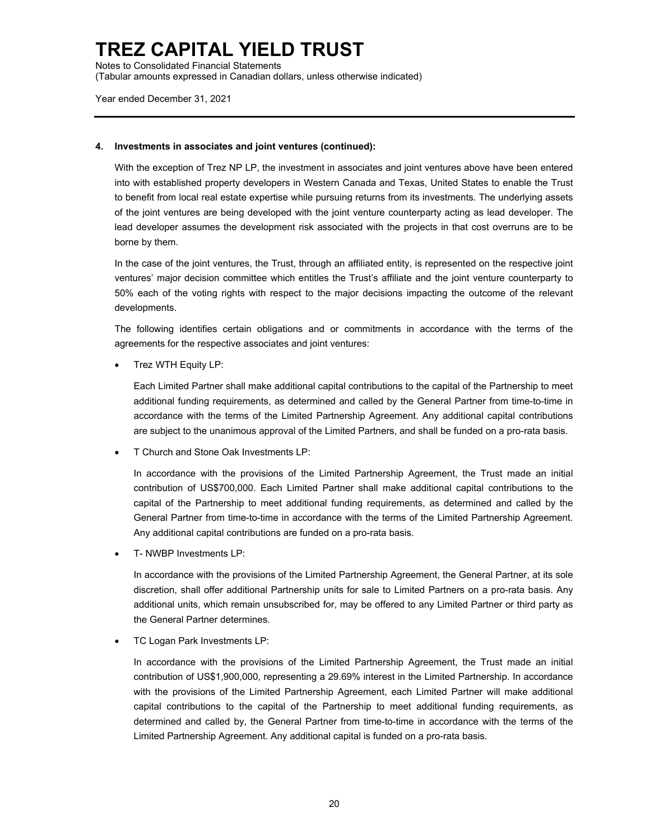Notes to Consolidated Financial Statements (Tabular amounts expressed in Canadian dollars, unless otherwise indicated)

Year ended December 31, 2021

### **4. Investments in associates and joint ventures (continued):**

With the exception of Trez NP LP, the investment in associates and joint ventures above have been entered into with established property developers in Western Canada and Texas, United States to enable the Trust to benefit from local real estate expertise while pursuing returns from its investments. The underlying assets of the joint ventures are being developed with the joint venture counterparty acting as lead developer. The lead developer assumes the development risk associated with the projects in that cost overruns are to be borne by them.

In the case of the joint ventures, the Trust, through an affiliated entity, is represented on the respective joint ventures' major decision committee which entitles the Trust's affiliate and the joint venture counterparty to 50% each of the voting rights with respect to the major decisions impacting the outcome of the relevant developments.

The following identifies certain obligations and or commitments in accordance with the terms of the agreements for the respective associates and joint ventures:

• Trez WTH Equity LP:

Each Limited Partner shall make additional capital contributions to the capital of the Partnership to meet additional funding requirements, as determined and called by the General Partner from time-to-time in accordance with the terms of the Limited Partnership Agreement. Any additional capital contributions are subject to the unanimous approval of the Limited Partners, and shall be funded on a pro-rata basis.

T Church and Stone Oak Investments LP:

In accordance with the provisions of the Limited Partnership Agreement, the Trust made an initial contribution of US\$700,000. Each Limited Partner shall make additional capital contributions to the capital of the Partnership to meet additional funding requirements, as determined and called by the General Partner from time-to-time in accordance with the terms of the Limited Partnership Agreement. Any additional capital contributions are funded on a pro-rata basis.

T- NWBP Investments LP:

In accordance with the provisions of the Limited Partnership Agreement, the General Partner, at its sole discretion, shall offer additional Partnership units for sale to Limited Partners on a pro-rata basis. Any additional units, which remain unsubscribed for, may be offered to any Limited Partner or third party as the General Partner determines.

TC Logan Park Investments LP:

In accordance with the provisions of the Limited Partnership Agreement, the Trust made an initial contribution of US\$1,900,000, representing a 29.69% interest in the Limited Partnership. In accordance with the provisions of the Limited Partnership Agreement, each Limited Partner will make additional capital contributions to the capital of the Partnership to meet additional funding requirements, as determined and called by, the General Partner from time-to-time in accordance with the terms of the Limited Partnership Agreement. Any additional capital is funded on a pro-rata basis.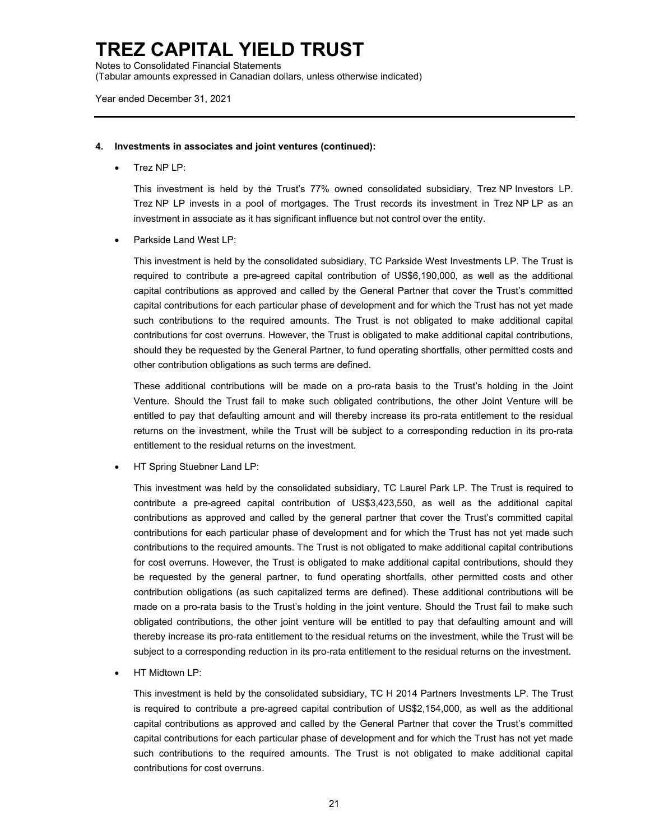Notes to Consolidated Financial Statements (Tabular amounts expressed in Canadian dollars, unless otherwise indicated)

Year ended December 31, 2021

#### **4. Investments in associates and joint ventures (continued):**

• Trez NP LP:

This investment is held by the Trust's 77% owned consolidated subsidiary, Trez NP Investors LP. Trez NP LP invests in a pool of mortgages. The Trust records its investment in Trez NP LP as an investment in associate as it has significant influence but not control over the entity.

• Parkside Land West LP:

This investment is held by the consolidated subsidiary, TC Parkside West Investments LP. The Trust is required to contribute a pre-agreed capital contribution of US\$6,190,000, as well as the additional capital contributions as approved and called by the General Partner that cover the Trust's committed capital contributions for each particular phase of development and for which the Trust has not yet made such contributions to the required amounts. The Trust is not obligated to make additional capital contributions for cost overruns. However, the Trust is obligated to make additional capital contributions, should they be requested by the General Partner, to fund operating shortfalls, other permitted costs and other contribution obligations as such terms are defined.

These additional contributions will be made on a pro-rata basis to the Trust's holding in the Joint Venture. Should the Trust fail to make such obligated contributions, the other Joint Venture will be entitled to pay that defaulting amount and will thereby increase its pro-rata entitlement to the residual returns on the investment, while the Trust will be subject to a corresponding reduction in its pro-rata entitlement to the residual returns on the investment.

HT Spring Stuebner Land LP:

This investment was held by the consolidated subsidiary, TC Laurel Park LP. The Trust is required to contribute a pre-agreed capital contribution of US\$3,423,550, as well as the additional capital contributions as approved and called by the general partner that cover the Trust's committed capital contributions for each particular phase of development and for which the Trust has not yet made such contributions to the required amounts. The Trust is not obligated to make additional capital contributions for cost overruns. However, the Trust is obligated to make additional capital contributions, should they be requested by the general partner, to fund operating shortfalls, other permitted costs and other contribution obligations (as such capitalized terms are defined). These additional contributions will be made on a pro-rata basis to the Trust's holding in the joint venture. Should the Trust fail to make such obligated contributions, the other joint venture will be entitled to pay that defaulting amount and will thereby increase its pro-rata entitlement to the residual returns on the investment, while the Trust will be subject to a corresponding reduction in its pro-rata entitlement to the residual returns on the investment.

HT Midtown LP:

This investment is held by the consolidated subsidiary, TC H 2014 Partners Investments LP. The Trust is required to contribute a pre-agreed capital contribution of US\$2,154,000, as well as the additional capital contributions as approved and called by the General Partner that cover the Trust's committed capital contributions for each particular phase of development and for which the Trust has not yet made such contributions to the required amounts. The Trust is not obligated to make additional capital contributions for cost overruns.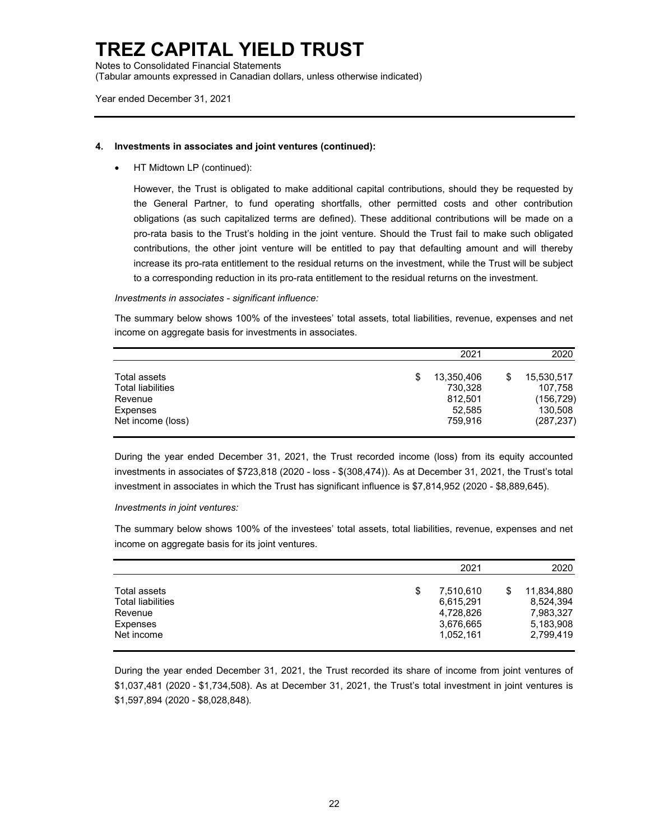Notes to Consolidated Financial Statements (Tabular amounts expressed in Canadian dollars, unless otherwise indicated)

Year ended December 31, 2021

#### **4. Investments in associates and joint ventures (continued):**

HT Midtown LP (continued):

However, the Trust is obligated to make additional capital contributions, should they be requested by the General Partner, to fund operating shortfalls, other permitted costs and other contribution obligations (as such capitalized terms are defined). These additional contributions will be made on a pro-rata basis to the Trust's holding in the joint venture. Should the Trust fail to make such obligated contributions, the other joint venture will be entitled to pay that defaulting amount and will thereby increase its pro-rata entitlement to the residual returns on the investment, while the Trust will be subject to a corresponding reduction in its pro-rata entitlement to the residual returns on the investment.

#### *Investments in associates - significant influence:*

The summary below shows 100% of the investees' total assets, total liabilities, revenue, expenses and net income on aggregate basis for investments in associates.

|                                                     | 2021                             |   | 2020                               |
|-----------------------------------------------------|----------------------------------|---|------------------------------------|
| Total assets<br><b>Total liabilities</b><br>Revenue | 13,350,406<br>730,328<br>812,501 | S | 15,530,517<br>107.758<br>(156,729) |
| Expenses<br>Net income (loss)                       | 52.585<br>759.916                |   | 130,508<br>(287, 237)              |

During the year ended December 31, 2021, the Trust recorded income (loss) from its equity accounted investments in associates of \$723,818 (2020 - loss - \$(308,474)). As at December 31, 2021, the Trust's total investment in associates in which the Trust has significant influence is \$7,814,952 (2020 - \$8,889,645).

#### *Investments in joint ventures:*

The summary below shows 100% of the investees' total assets, total liabilities, revenue, expenses and net income on aggregate basis for its joint ventures.

|                                                                        |   | 2021                                                          | 2020                                                           |
|------------------------------------------------------------------------|---|---------------------------------------------------------------|----------------------------------------------------------------|
| Total assets<br>Total liabilities<br>Revenue<br>Expenses<br>Net income | S | 7.510.610<br>6,615,291<br>4.728.826<br>3,676,665<br>1,052,161 | 11,834,880<br>8.524.394<br>7.983.327<br>5,183,908<br>2,799,419 |

During the year ended December 31, 2021, the Trust recorded its share of income from joint ventures of \$1,037,481 (2020 - \$1,734,508). As at December 31, 2021, the Trust's total investment in joint ventures is \$1,597,894 (2020 - \$8,028,848).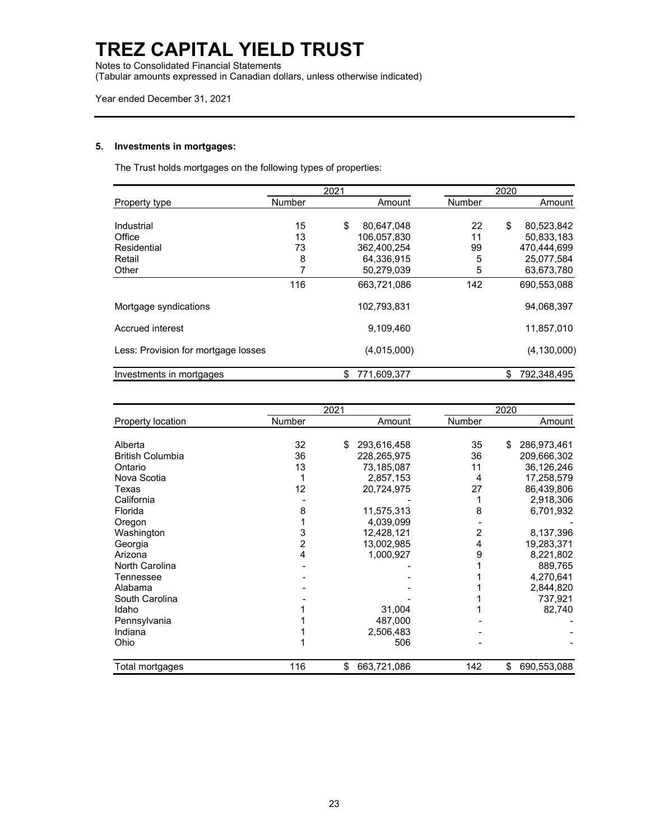Notes to Consolidated Financial Statements (Tabular amounts expressed in Canadian dollars, unless otherwise indicated)

Year ended December 31, 2021

### **5. Investments in mortgages:**

The Trust holds mortgages on the following types of properties:

|                                     |               | 2021 |                           |               | 2020 |                          |  |  |
|-------------------------------------|---------------|------|---------------------------|---------------|------|--------------------------|--|--|
| Property type                       | <b>Number</b> |      | Amount                    | <b>Number</b> |      | Amount                   |  |  |
|                                     |               |      |                           |               |      |                          |  |  |
| Industrial<br>Office                | 15<br>13      | \$   | 80,647,048<br>106.057.830 | 22<br>11      | \$   | 80.523.842<br>50.833.183 |  |  |
| Residential                         | 73            |      | 362.400.254               | 99            |      | 470.444.699              |  |  |
| Retail                              | 8             |      | 64,336,915                | 5             |      | 25,077,584               |  |  |
| Other                               | 7             |      | 50,279,039                | 5             |      | 63,673,780               |  |  |
|                                     | 116           |      | 663,721,086               | 142           |      | 690,553,088              |  |  |
| Mortgage syndications               |               |      | 102,793,831               |               |      | 94,068,397               |  |  |
| Accrued interest                    |               |      | 9,109,460                 |               |      | 11.857.010               |  |  |
| Less: Provision for mortgage losses |               |      | (4,015,000)               |               |      | (4, 130, 000)            |  |  |
| Investments in mortgages            |               | \$   | 771,609,377               |               | \$   | 792,348,495              |  |  |

| 2021                    |                |                   | 2020   |    |             |
|-------------------------|----------------|-------------------|--------|----|-------------|
| Property location       | <b>Number</b>  | Amount            | Number |    | Amount      |
|                         |                |                   |        |    |             |
| Alberta                 | 32             | \$<br>293,616,458 | 35     | \$ | 286,973,461 |
| <b>British Columbia</b> | 36             | 228,265,975       | 36     |    | 209,666,302 |
| Ontario                 | 13             | 73,185,087        | 11     |    | 36,126,246  |
| Nova Scotia             |                | 2,857,153         | 4      |    | 17,258,579  |
| Texas                   | 12             | 20,724,975        | 27     |    | 86,439,806  |
| California              |                |                   |        |    | 2,918,306   |
| Florida                 | 8              | 11,575,313        | 8      |    | 6,701,932   |
| Oregon                  |                | 4,039,099         |        |    |             |
| Washington              | 3              | 12,428,121        | 2      |    | 8,137,396   |
| Georgia                 | $\overline{2}$ | 13,002,985        | 4      |    | 19,283,371  |
| Arizona                 | 4              | 1,000,927         | 9      |    | 8,221,802   |
| North Carolina          |                |                   |        |    | 889,765     |
| Tennessee               |                |                   |        |    | 4,270,641   |
| Alabama                 |                |                   |        |    | 2,844,820   |
| South Carolina          |                |                   |        |    | 737,921     |
| Idaho                   |                | 31,004            |        |    | 82,740      |
| Pennsylvania            |                | 487,000           |        |    |             |
| Indiana                 |                | 2,506,483         |        |    |             |
| Ohio                    |                | 506               |        |    |             |
| Total mortgages         | 116            | \$<br>663,721,086 | 142    | \$ | 690,553,088 |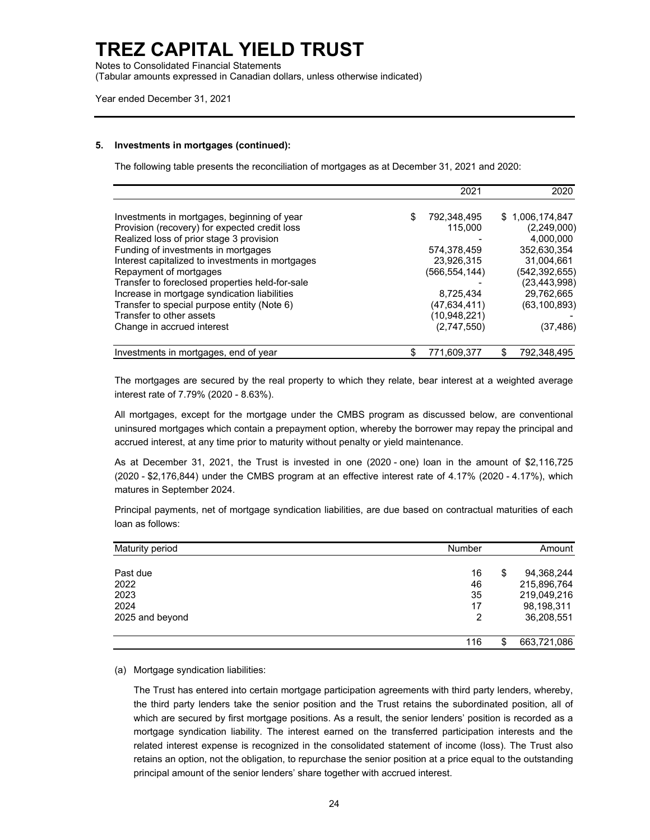Notes to Consolidated Financial Statements (Tabular amounts expressed in Canadian dollars, unless otherwise indicated)

#### **5. Investments in mortgages (continued):**

The following table presents the reconciliation of mortgages as at December 31, 2021 and 2020:

|                                                                                           | 2021              | 2020                     |
|-------------------------------------------------------------------------------------------|-------------------|--------------------------|
| Investments in mortgages, beginning of year                                               | \$<br>792,348,495 | \$1,006,174,847          |
| Provision (recovery) for expected credit loss<br>Realized loss of prior stage 3 provision | 115.000           | (2,249,000)<br>4.000.000 |
| Funding of investments in mortgages                                                       | 574,378,459       | 352,630,354              |
| Interest capitalized to investments in mortgages                                          | 23,926,315        | 31.004.661               |
| Repayment of mortgages                                                                    | (566, 554, 144)   | (542,392,655)            |
| Transfer to foreclosed properties held-for-sale                                           |                   | (23, 443, 998)           |
| Increase in mortgage syndication liabilities                                              | 8,725,434         | 29,762,665               |
| Transfer to special purpose entity (Note 6)                                               | (47, 634, 411)    | (63, 100, 893)           |
| Transfer to other assets                                                                  | (10,948,221)      |                          |
| Change in accrued interest                                                                | (2,747,550)       | (37,486)                 |
| Investments in mortgages, end of year                                                     | \$<br>771,609,377 | 792.348.495              |

The mortgages are secured by the real property to which they relate, bear interest at a weighted average interest rate of 7.79% (2020 - 8.63%).

All mortgages, except for the mortgage under the CMBS program as discussed below, are conventional uninsured mortgages which contain a prepayment option, whereby the borrower may repay the principal and accrued interest, at any time prior to maturity without penalty or yield maintenance.

As at December 31, 2021, the Trust is invested in one (2020 - one) loan in the amount of \$2,116,725 (2020 - \$2,176,844) under the CMBS program at an effective interest rate of 4.17% (2020 - 4.17%), which matures in September 2024.

Principal payments, net of mortgage syndication liabilities, are due based on contractual maturities of each loan as follows:

| Maturity period | Number |   | Amount      |
|-----------------|--------|---|-------------|
| Past due        | 16     | S | 94,368,244  |
| 2022            | 46     |   | 215,896,764 |
| 2023            | 35     |   | 219,049,216 |
| 2024            | 17     |   | 98,198,311  |
| 2025 and beyond | 2      |   | 36,208,551  |
|                 | 116    |   | 663,721,086 |

#### (a) Mortgage syndication liabilities:

The Trust has entered into certain mortgage participation agreements with third party lenders, whereby, the third party lenders take the senior position and the Trust retains the subordinated position, all of which are secured by first mortgage positions. As a result, the senior lenders' position is recorded as a mortgage syndication liability. The interest earned on the transferred participation interests and the related interest expense is recognized in the consolidated statement of income (loss). The Trust also retains an option, not the obligation, to repurchase the senior position at a price equal to the outstanding principal amount of the senior lenders' share together with accrued interest.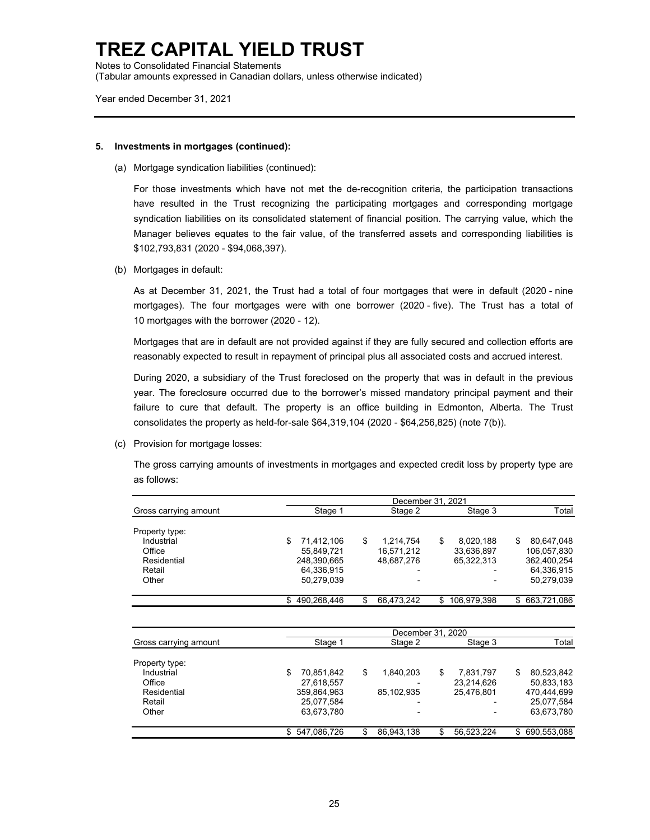Notes to Consolidated Financial Statements (Tabular amounts expressed in Canadian dollars, unless otherwise indicated)

Year ended December 31, 2021

#### **5. Investments in mortgages (continued):**

(a) Mortgage syndication liabilities (continued):

For those investments which have not met the de-recognition criteria, the participation transactions have resulted in the Trust recognizing the participating mortgages and corresponding mortgage syndication liabilities on its consolidated statement of financial position. The carrying value, which the Manager believes equates to the fair value, of the transferred assets and corresponding liabilities is \$102,793,831 (2020 - \$94,068,397).

(b) Mortgages in default:

As at December 31, 2021, the Trust had a total of four mortgages that were in default (2020 - nine mortgages). The four mortgages were with one borrower (2020 - five). The Trust has a total of 10 mortgages with the borrower (2020 - 12).

Mortgages that are in default are not provided against if they are fully secured and collection efforts are reasonably expected to result in repayment of principal plus all associated costs and accrued interest.

During 2020, a subsidiary of the Trust foreclosed on the property that was in default in the previous year. The foreclosure occurred due to the borrower's missed mandatory principal payment and their failure to cure that default. The property is an office building in Edmonton, Alberta. The Trust consolidates the property as held-for-sale \$64,319,104 (2020 - \$64,256,825) (note 7(b)).

(c) Provision for mortgage losses:

The gross carrying amounts of investments in mortgages and expected credit loss by property type are as follows:

|                       | December 31, 2021 |    |                   |    |             |    |             |  |  |  |  |
|-----------------------|-------------------|----|-------------------|----|-------------|----|-------------|--|--|--|--|
| Gross carrying amount | Stage 1           |    | Stage 2           |    | Stage 3     |    | Total       |  |  |  |  |
|                       |                   |    |                   |    |             |    |             |  |  |  |  |
| Property type:        |                   |    |                   |    |             |    |             |  |  |  |  |
| Industrial            | \$<br>71,412,106  | \$ | 1,214,754         | \$ | 8,020,188   | \$ | 80,647,048  |  |  |  |  |
| Office                | 55,849,721        |    | 16,571,212        |    | 33,636,897  |    | 106,057,830 |  |  |  |  |
| Residential           | 248,390,665       |    | 48,687,276        |    | 65,322,313  |    | 362,400,254 |  |  |  |  |
| Retail                | 64,336,915        |    |                   |    |             |    | 64,336,915  |  |  |  |  |
| Other                 | 50,279,039        |    |                   |    |             |    | 50,279,039  |  |  |  |  |
|                       | \$<br>490,268,446 | \$ | 66,473,242        | \$ | 106,979,398 | \$ | 663,721,086 |  |  |  |  |
|                       |                   |    | December 31, 2020 |    |             |    |             |  |  |  |  |
| Gross carrying amount | Stage 1           |    | Stage 2           |    | Stage 3     |    | Total       |  |  |  |  |
| Property type:        |                   |    |                   |    |             |    |             |  |  |  |  |
| Industrial            | \$<br>70,851,842  | \$ | 1,840,203         | \$ | 7,831,797   | \$ | 80,523,842  |  |  |  |  |
| Office                | 27.618.557        |    |                   |    | 23,214,626  |    | 50,833,183  |  |  |  |  |
| Residential           | 359,864,963       |    | 85,102,935        |    | 25,476,801  |    | 470,444,699 |  |  |  |  |
| Retail                | 25,077,584        |    |                   |    |             |    | 25,077,584  |  |  |  |  |
| Other                 | 63,673,780        |    |                   |    |             |    | 63,673,780  |  |  |  |  |
|                       | \$547,086,726     | \$ | 86,943,138        | \$ | 56,523,224  | \$ | 690,553,088 |  |  |  |  |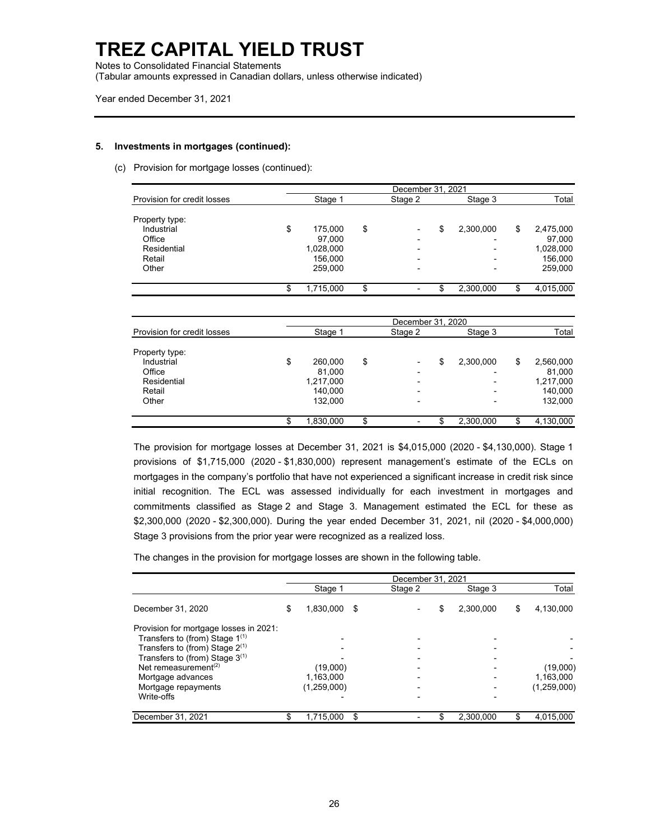Notes to Consolidated Financial Statements

(Tabular amounts expressed in Canadian dollars, unless otherwise indicated)

### **5. Investments in mortgages (continued):**

(c) Provision for mortgage losses (continued):

|                             |                 | December 31, 2021 |                 |                 |
|-----------------------------|-----------------|-------------------|-----------------|-----------------|
| Provision for credit losses | Stage 1         | Stage 2           | Stage 3         | Total           |
| Property type:              |                 |                   |                 |                 |
| Industrial                  | \$<br>175,000   | \$                | \$<br>2,300,000 | \$<br>2,475,000 |
| Office                      | 97.000          |                   |                 | 97,000          |
| Residential                 | 1,028,000       |                   |                 | 1,028,000       |
| Retail                      | 156,000         |                   |                 | 156,000         |
| Other                       | 259,000         | $\blacksquare$    |                 | 259,000         |
|                             | \$<br>1,715,000 | \$                | \$<br>2,300,000 | \$<br>4,015,000 |
|                             |                 | December 31, 2020 |                 |                 |
| Provision for credit losses | Stage 1         | Stage 2           | Stage 3         | Total           |
| Property type:              |                 |                   |                 |                 |
| Industrial                  | \$<br>260,000   | \$                | \$<br>2,300,000 | \$<br>2,560,000 |
| Office                      | 81,000          |                   |                 | 81,000          |
| Residential                 | 1,217,000       |                   |                 | 1,217,000       |
| Retail                      | 140,000         |                   |                 | 140,000         |
| Other                       | 132,000         |                   |                 | 132,000         |
|                             | \$<br>1,830,000 | \$                | \$<br>2,300,000 | \$<br>4,130,000 |

The provision for mortgage losses at December 31, 2021 is \$4,015,000 (2020 - \$4,130,000). Stage 1 provisions of \$1,715,000 (2020 - \$1,830,000) represent management's estimate of the ECLs on mortgages in the company's portfolio that have not experienced a significant increase in credit risk since initial recognition. The ECL was assessed individually for each investment in mortgages and commitments classified as Stage 2 and Stage 3. Management estimated the ECL for these as \$2,300,000 (2020 - \$2,300,000). During the year ended December 31, 2021, nil (2020 - \$4,000,000) Stage 3 provisions from the prior year were recognized as a realized loss.

The changes in the provision for mortgage losses are shown in the following table.

|                                        |                 |    | December 31, 2021 |                 |   |             |
|----------------------------------------|-----------------|----|-------------------|-----------------|---|-------------|
|                                        | Stage 1         |    | Stage 2           | Stage 3         |   | Total       |
| December 31, 2020                      | \$<br>1,830,000 | S  |                   | \$<br>2,300,000 | S | 4,130,000   |
| Provision for mortgage losses in 2021: |                 |    |                   |                 |   |             |
| Transfers to (from) Stage $1^{(1)}$    |                 |    |                   |                 |   |             |
| Transfers to (from) Stage $2^{(1)}$    |                 |    |                   |                 |   |             |
| Transfers to (from) Stage $3^{(1)}$    |                 |    |                   |                 |   |             |
| Net remeasurement $(2)$                | (19,000)        |    |                   |                 |   | (19,000)    |
| Mortgage advances                      | 1,163,000       |    |                   |                 |   | 1.163.000   |
| Mortgage repayments                    | (1,259,000)     |    |                   |                 |   | (1,259,000) |
| Write-offs                             |                 |    |                   |                 |   |             |
| December 31, 2021                      | 1,715,000       | \$ |                   | 2,300,000       |   | 4,015,000   |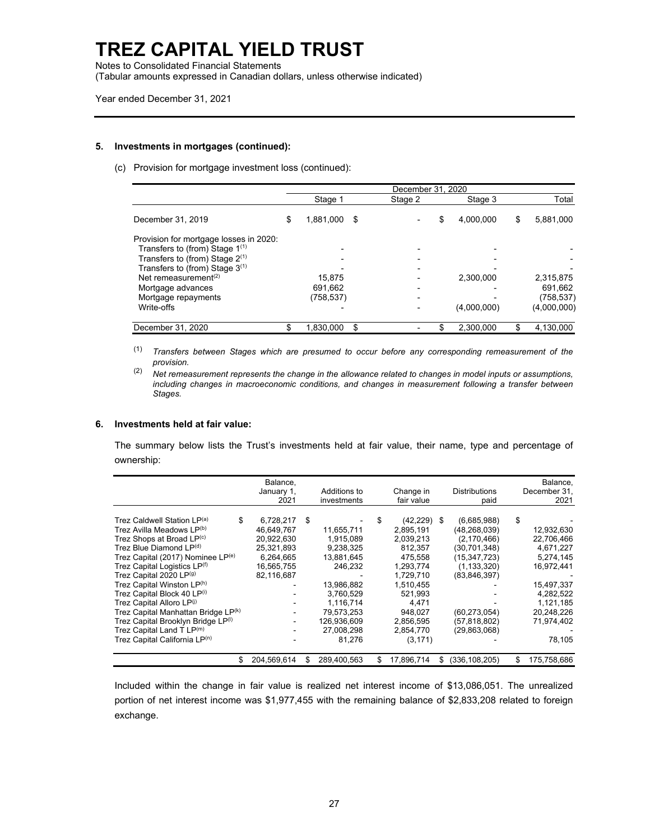Notes to Consolidated Financial Statements

(Tabular amounts expressed in Canadian dollars, unless otherwise indicated)

#### **5. Investments in mortgages (continued):**

(c) Provision for mortgage investment loss (continued):

|                                        |                 | December 31, 2020 |             |                 |
|----------------------------------------|-----------------|-------------------|-------------|-----------------|
|                                        | Stage 1         | Stage 2           | Stage 3     | Total           |
| December 31, 2019                      | \$<br>1,881,000 | \$<br>\$          | 4,000,000   | \$<br>5,881,000 |
| Provision for mortgage losses in 2020: |                 |                   |             |                 |
| Transfers to (from) Stage 1(1)         |                 |                   |             |                 |
| Transfers to (from) Stage $2^{(1)}$    |                 |                   |             |                 |
| Transfers to (from) Stage $3^{(1)}$    |                 |                   |             |                 |
| Net remeasurement $(2)$                | 15.875          |                   | 2,300,000   | 2,315,875       |
| Mortgage advances                      | 691.662         |                   |             | 691.662         |
| Mortgage repayments                    | (758,537)       |                   |             | (758, 537)      |
| Write-offs                             |                 |                   | (4,000,000) | (4,000,000)     |
| December 31, 2020                      | 1,830,000       | \$                | 2,300,000   | 4,130,000       |

(1) *Transfers between Stages which are presumed to occur before any corresponding remeasurement of the provision.* 

(2) *Net remeasurement represents the change in the allowance related to changes in model inputs or assumptions, including changes in macroeconomic conditions, and changes in measurement following a transfer between Stages.* 

#### **6. Investments held at fair value:**

The summary below lists the Trust's investments held at fair value, their name, type and percentage of ownership:

|                                                                                                                                                                                                                                                                                                                                                                                                                                                                                                                   | Balance,<br>January 1,<br>2021                                                                          |    | Additions to<br>investments                                                                                                                                |     | Change in<br>fair value                                                                                                                                                    | <b>Distributions</b><br>paid                                                                                                                                                | Balance,<br>December 31,<br>2021                                                                                                                     |
|-------------------------------------------------------------------------------------------------------------------------------------------------------------------------------------------------------------------------------------------------------------------------------------------------------------------------------------------------------------------------------------------------------------------------------------------------------------------------------------------------------------------|---------------------------------------------------------------------------------------------------------|----|------------------------------------------------------------------------------------------------------------------------------------------------------------|-----|----------------------------------------------------------------------------------------------------------------------------------------------------------------------------|-----------------------------------------------------------------------------------------------------------------------------------------------------------------------------|------------------------------------------------------------------------------------------------------------------------------------------------------|
| Trez Caldwell Station LP(a)<br>Trez Avilla Meadows LP <sup>(b)</sup><br>Trez Shops at Broad LP <sup>(c)</sup><br>Trez Blue Diamond LP(d)<br>Trez Capital (2017) Nominee LP <sup>(e)</sup><br>Trez Capital Logistics LP <sup>(f)</sup><br>Trez Capital 2020 LP(g)<br>Trez Capital Winston LP(h)<br>Trez Capital Block 40 LP(i)<br>Trez Capital Alloro LP(i)<br>Trez Capital Manhattan Bridge LP <sup>(k)</sup><br>Trez Capital Brooklyn Bridge LP(I)<br>Trez Capital Land T LP(m)<br>Trez Capital California LP(n) | \$<br>6,728,217<br>46,649,767<br>20.922.630<br>25,321,893<br>6,264,665<br>16,565,755<br>82,116,687<br>۰ | S  | 11,655,711<br>1,915,089<br>9,238,325<br>13,881,645<br>246,232<br>13,986,882<br>3,760,529<br>1,116,714<br>79.573.253<br>126,936,609<br>27,008,298<br>81,276 | S   | $(42, 229)$ \$<br>2,895,191<br>2,039,213<br>812,357<br>475,558<br>1,293,774<br>1,729,710<br>1,510,455<br>521,993<br>4,471<br>948.027<br>2,856,595<br>2,854,770<br>(3, 171) | (6,685,988)<br>(48, 268, 039)<br>(2, 170, 466)<br>(30, 701, 348)<br>(15, 347, 723)<br>(1, 133, 320)<br>(83, 846, 397)<br>(60, 273, 054)<br>(57, 818, 802)<br>(29, 863, 068) | \$<br>12,932,630<br>22,706,466<br>4,671,227<br>5,274,145<br>16,972,441<br>15,497,337<br>4,282,522<br>1,121,185<br>20,248,226<br>71,974,402<br>78,105 |
|                                                                                                                                                                                                                                                                                                                                                                                                                                                                                                                   | 204,569,614                                                                                             | \$ | 289,400,563                                                                                                                                                | \$. | 17,896,714                                                                                                                                                                 | \$<br>(336, 108, 205)                                                                                                                                                       | \$<br>175,758,686                                                                                                                                    |

Included within the change in fair value is realized net interest income of \$13,086,051. The unrealized portion of net interest income was \$1,977,455 with the remaining balance of \$2,833,208 related to foreign exchange.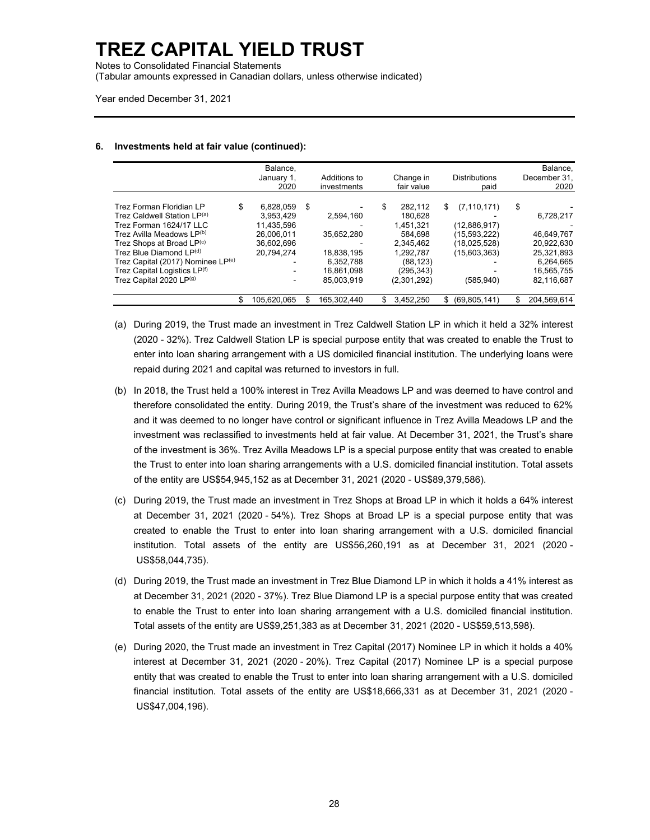Notes to Consolidated Financial Statements

(Tabular amounts expressed in Canadian dollars, unless otherwise indicated)

Year ended December 31, 2021

### **6. Investments held at fair value (continued):**

|                                               | Balance.<br>January 1,<br>2020 | Additions to<br>investments |    | Change in<br>fair value |    | <b>Distributions</b><br>paid |    | Balance,<br>December 31.<br>2020 |
|-----------------------------------------------|--------------------------------|-----------------------------|----|-------------------------|----|------------------------------|----|----------------------------------|
| Trez Forman Floridian LP                      | \$<br>6.828.059                | \$                          | \$ | 282.112                 | \$ | (7, 110, 171)                | \$ |                                  |
| Trez Caldwell Station LP(a)                   | 3.953.429                      | 2,594,160                   |    | 180.628                 |    |                              |    | 6,728,217                        |
| Trez Forman 1624/17 LLC                       | 11.435.596                     |                             |    | 1.451.321               |    | (12,886,917)                 |    |                                  |
| Trez Avilla Meadows LP(b)                     | 26.006.011                     | 35,652,280                  |    | 584.698                 |    | (15,593,222)                 |    | 46,649,767                       |
| Trez Shops at Broad LP(c)                     | 36.602.696                     |                             |    | 2.345.462               |    | (18,025,528)                 |    | 20,922,630                       |
| Trez Blue Diamond LP(d)                       | 20.794.274                     | 18,838,195                  |    | 1,292,787               |    | (15,603,363)                 |    | 25,321,893                       |
| Trez Capital (2017) Nominee LP <sup>(e)</sup> |                                | 6.352.788                   |    | (88, 123)               |    |                              |    | 6,264,665                        |
| Trez Capital Logistics LP(f)                  |                                | 16.861.098                  |    | (295,343)               |    |                              |    | 16,565,755                       |
| Trez Capital 2020 LP(9)                       |                                | 85.003.919                  |    | (2,301,292)             |    | (585, 940)                   |    | 82,116,687                       |
|                                               | \$<br>105.620.065              | \$<br>165.302.440           | S. | 3.452.250               | S. | (69,805,141)                 | S  | 204.569.614                      |

- (a) During 2019, the Trust made an investment in Trez Caldwell Station LP in which it held a 32% interest (2020 - 32%). Trez Caldwell Station LP is special purpose entity that was created to enable the Trust to enter into loan sharing arrangement with a US domiciled financial institution. The underlying loans were repaid during 2021 and capital was returned to investors in full.
- (b) In 2018, the Trust held a 100% interest in Trez Avilla Meadows LP and was deemed to have control and therefore consolidated the entity. During 2019, the Trust's share of the investment was reduced to 62% and it was deemed to no longer have control or significant influence in Trez Avilla Meadows LP and the investment was reclassified to investments held at fair value. At December 31, 2021, the Trust's share of the investment is 36%. Trez Avilla Meadows LP is a special purpose entity that was created to enable the Trust to enter into loan sharing arrangements with a U.S. domiciled financial institution. Total assets of the entity are US\$54,945,152 as at December 31, 2021 (2020 - US\$89,379,586).
- (c) During 2019, the Trust made an investment in Trez Shops at Broad LP in which it holds a 64% interest at December 31, 2021 (2020 - 54%). Trez Shops at Broad LP is a special purpose entity that was created to enable the Trust to enter into loan sharing arrangement with a U.S. domiciled financial institution. Total assets of the entity are US\$56,260,191 as at December 31, 2021 (2020 - US\$58,044,735).
- (d) During 2019, the Trust made an investment in Trez Blue Diamond LP in which it holds a 41% interest as at December 31, 2021 (2020 - 37%). Trez Blue Diamond LP is a special purpose entity that was created to enable the Trust to enter into loan sharing arrangement with a U.S. domiciled financial institution. Total assets of the entity are US\$9,251,383 as at December 31, 2021 (2020 - US\$59,513,598).
- (e) During 2020, the Trust made an investment in Trez Capital (2017) Nominee LP in which it holds a 40% interest at December 31, 2021 (2020 - 20%). Trez Capital (2017) Nominee LP is a special purpose entity that was created to enable the Trust to enter into loan sharing arrangement with a U.S. domiciled financial institution. Total assets of the entity are US\$18,666,331 as at December 31, 2021 (2020 - US\$47,004,196).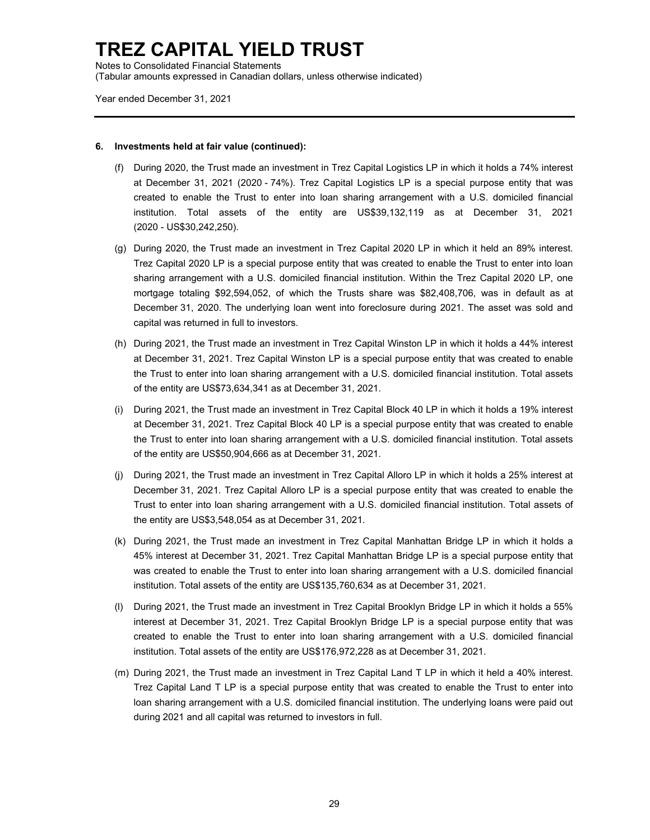Notes to Consolidated Financial Statements (Tabular amounts expressed in Canadian dollars, unless otherwise indicated)

Year ended December 31, 2021

#### **6. Investments held at fair value (continued):**

- (f) During 2020, the Trust made an investment in Trez Capital Logistics LP in which it holds a 74% interest at December 31, 2021 (2020 - 74%). Trez Capital Logistics LP is a special purpose entity that was created to enable the Trust to enter into loan sharing arrangement with a U.S. domiciled financial institution. Total assets of the entity are US\$39,132,119 as at December 31, 2021 (2020 - US\$30,242,250).
- (g) During 2020, the Trust made an investment in Trez Capital 2020 LP in which it held an 89% interest. Trez Capital 2020 LP is a special purpose entity that was created to enable the Trust to enter into loan sharing arrangement with a U.S. domiciled financial institution. Within the Trez Capital 2020 LP, one mortgage totaling \$92,594,052, of which the Trusts share was \$82,408,706, was in default as at December 31, 2020. The underlying loan went into foreclosure during 2021. The asset was sold and capital was returned in full to investors.
- (h) During 2021, the Trust made an investment in Trez Capital Winston LP in which it holds a 44% interest at December 31, 2021. Trez Capital Winston LP is a special purpose entity that was created to enable the Trust to enter into loan sharing arrangement with a U.S. domiciled financial institution. Total assets of the entity are US\$73,634,341 as at December 31, 2021.
- (i) During 2021, the Trust made an investment in Trez Capital Block 40 LP in which it holds a 19% interest at December 31, 2021. Trez Capital Block 40 LP is a special purpose entity that was created to enable the Trust to enter into loan sharing arrangement with a U.S. domiciled financial institution. Total assets of the entity are US\$50,904,666 as at December 31, 2021.
- (j) During 2021, the Trust made an investment in Trez Capital Alloro LP in which it holds a 25% interest at December 31, 2021. Trez Capital Alloro LP is a special purpose entity that was created to enable the Trust to enter into loan sharing arrangement with a U.S. domiciled financial institution. Total assets of the entity are US\$3,548,054 as at December 31, 2021.
- (k) During 2021, the Trust made an investment in Trez Capital Manhattan Bridge LP in which it holds a 45% interest at December 31, 2021. Trez Capital Manhattan Bridge LP is a special purpose entity that was created to enable the Trust to enter into loan sharing arrangement with a U.S. domiciled financial institution. Total assets of the entity are US\$135,760,634 as at December 31, 2021.
- (l) During 2021, the Trust made an investment in Trez Capital Brooklyn Bridge LP in which it holds a 55% interest at December 31, 2021. Trez Capital Brooklyn Bridge LP is a special purpose entity that was created to enable the Trust to enter into loan sharing arrangement with a U.S. domiciled financial institution. Total assets of the entity are US\$176,972,228 as at December 31, 2021.
- (m) During 2021, the Trust made an investment in Trez Capital Land T LP in which it held a 40% interest. Trez Capital Land T LP is a special purpose entity that was created to enable the Trust to enter into loan sharing arrangement with a U.S. domiciled financial institution. The underlying loans were paid out during 2021 and all capital was returned to investors in full.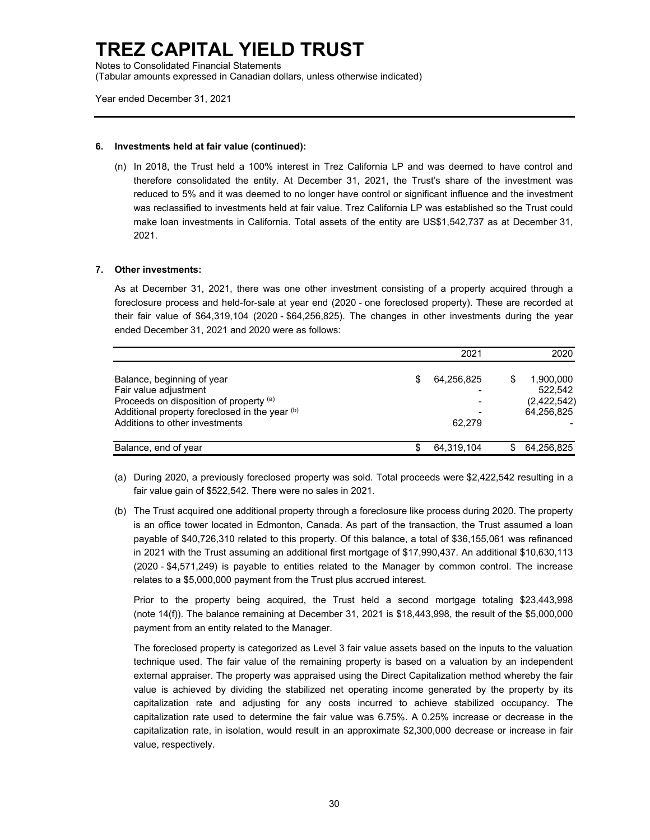Notes to Consolidated Financial Statements (Tabular amounts expressed in Canadian dollars, unless otherwise indicated)

Year ended December 31, 2021

#### **6. Investments held at fair value (continued):**

(n) In 2018, the Trust held a 100% interest in Trez California LP and was deemed to have control and therefore consolidated the entity. At December 31, 2021, the Trust's share of the investment was reduced to 5% and it was deemed to no longer have control or significant influence and the investment was reclassified to investments held at fair value. Trez California LP was established so the Trust could make loan investments in California. Total assets of the entity are US\$1,542,737 as at December 31, 2021.

### **7. Other investments:**

As at December 31, 2021, there was one other investment consisting of a property acquired through a foreclosure process and held-for-sale at year end (2020 - one foreclosed property). These are recorded at their fair value of \$64,319,104 (2020 - \$64,256,825). The changes in other investments during the year ended December 31, 2021 and 2020 were as follows:

|                                                                                                                                                                                    | 2021                      | 2020                                                    |
|------------------------------------------------------------------------------------------------------------------------------------------------------------------------------------|---------------------------|---------------------------------------------------------|
| Balance, beginning of year<br>Fair value adjustment<br>Proceeds on disposition of property (a)<br>Additional property foreclosed in the year (b)<br>Additions to other investments | 64.256.825<br>-<br>62.279 | \$<br>1,900,000<br>522.542<br>(2,422,542)<br>64.256.825 |
| Balance, end of year                                                                                                                                                               | 64,319,104                | 64,256,825                                              |

- (a) During 2020, a previously foreclosed property was sold. Total proceeds were \$2,422,542 resulting in a fair value gain of \$522,542. There were no sales in 2021.
- (b) The Trust acquired one additional property through a foreclosure like process during 2020. The property is an office tower located in Edmonton, Canada. As part of the transaction, the Trust assumed a loan payable of \$40,726,310 related to this property. Of this balance, a total of \$36,155,061 was refinanced in 2021 with the Trust assuming an additional first mortgage of \$17,990,437. An additional \$10,630,113 (2020 - \$4,571,249) is payable to entities related to the Manager by common control. The increase relates to a \$5,000,000 payment from the Trust plus accrued interest.

Prior to the property being acquired, the Trust held a second mortgage totaling \$23,443,998 (note 14(f)). The balance remaining at December 31, 2021 is \$18,443,998, the result of the \$5,000,000 payment from an entity related to the Manager.

The foreclosed property is categorized as Level 3 fair value assets based on the inputs to the valuation technique used. The fair value of the remaining property is based on a valuation by an independent external appraiser. The property was appraised using the Direct Capitalization method whereby the fair value is achieved by dividing the stabilized net operating income generated by the property by its capitalization rate and adjusting for any costs incurred to achieve stabilized occupancy. The capitalization rate used to determine the fair value was 6.75%. A 0.25% increase or decrease in the capitalization rate, in isolation, would result in an approximate \$2,300,000 decrease or increase in fair value, respectively.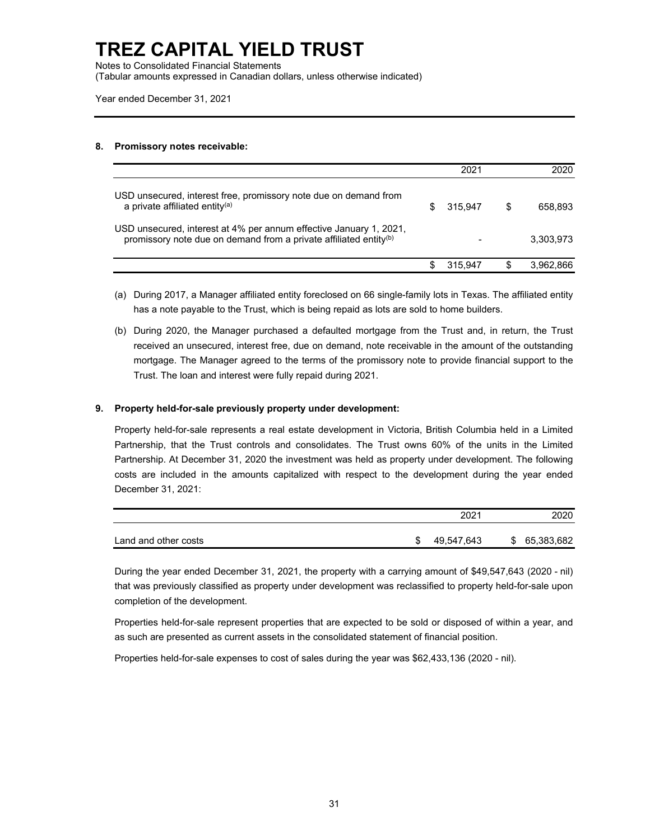Notes to Consolidated Financial Statements

(Tabular amounts expressed in Canadian dollars, unless otherwise indicated)

### **8. Promissory notes receivable:**

|                                                                                                                                         | 2021    |   | 2020      |
|-----------------------------------------------------------------------------------------------------------------------------------------|---------|---|-----------|
| USD unsecured, interest free, promissory note due on demand from<br>a private affiliated entity $(a)$                                   | 315.947 | S | 658.893   |
| USD unsecured, interest at 4% per annum effective January 1, 2021,<br>promissory note due on demand from a private affiliated entity(b) |         |   | 3.303.973 |
|                                                                                                                                         | 315.947 |   | 3.962.866 |

- (a) During 2017, a Manager affiliated entity foreclosed on 66 single-family lots in Texas. The affiliated entity has a note payable to the Trust, which is being repaid as lots are sold to home builders.
- (b) During 2020, the Manager purchased a defaulted mortgage from the Trust and, in return, the Trust received an unsecured, interest free, due on demand, note receivable in the amount of the outstanding mortgage. The Manager agreed to the terms of the promissory note to provide financial support to the Trust. The loan and interest were fully repaid during 2021.

### **9. Property held-for-sale previously property under development:**

Property held-for-sale represents a real estate development in Victoria, British Columbia held in a Limited Partnership, that the Trust controls and consolidates. The Trust owns 60% of the units in the Limited Partnership. At December 31, 2020 the investment was held as property under development. The following costs are included in the amounts capitalized with respect to the development during the year ended December 31, 2021:

|                      |   | 2021       |   | 2020       |
|----------------------|---|------------|---|------------|
| Land and other costs | S | 49,547,643 | S | 65,383,682 |

During the year ended December 31, 2021, the property with a carrying amount of \$49,547,643 (2020 - nil) that was previously classified as property under development was reclassified to property held-for-sale upon completion of the development.

Properties held-for-sale represent properties that are expected to be sold or disposed of within a year, and as such are presented as current assets in the consolidated statement of financial position.

Properties held-for-sale expenses to cost of sales during the year was \$62,433,136 (2020 - nil).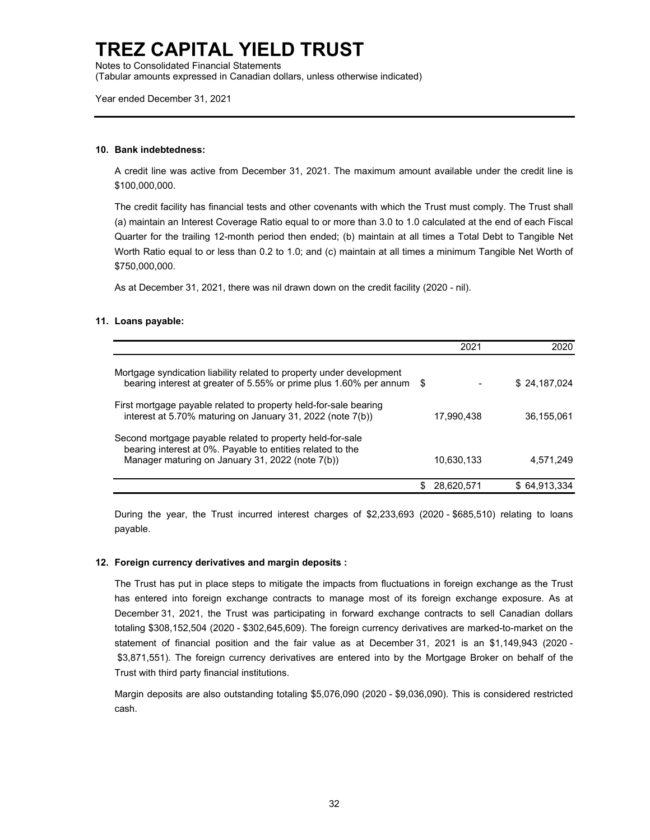Notes to Consolidated Financial Statements (Tabular amounts expressed in Canadian dollars, unless otherwise indicated)

Year ended December 31, 2021

### **10. Bank indebtedness:**

A credit line was active from December 31, 2021. The maximum amount available under the credit line is \$100,000,000.

The credit facility has financial tests and other covenants with which the Trust must comply. The Trust shall (a) maintain an Interest Coverage Ratio equal to or more than 3.0 to 1.0 calculated at the end of each Fiscal Quarter for the trailing 12-month period then ended; (b) maintain at all times a Total Debt to Tangible Net Worth Ratio equal to or less than 0.2 to 1.0; and (c) maintain at all times a minimum Tangible Net Worth of \$750,000,000.

As at December 31, 2021, there was nil drawn down on the credit facility (2020 - nil).

### **11. Loans payable:**

|                                                                                                                                                                             | 2021       | 2020         |
|-----------------------------------------------------------------------------------------------------------------------------------------------------------------------------|------------|--------------|
| Mortgage syndication liability related to property under development<br>bearing interest at greater of 5.55% or prime plus 1.60% per annum \$                               |            | \$24.187.024 |
| First mortgage payable related to property held-for-sale bearing<br>interest at 5.70% maturing on January 31, 2022 (note 7(b))                                              | 17.990.438 | 36.155.061   |
| Second mortgage payable related to property held-for-sale<br>bearing interest at 0%. Payable to entities related to the<br>Manager maturing on January 31, 2022 (note 7(b)) | 10,630,133 | 4,571,249    |
|                                                                                                                                                                             | 28,620,571 | \$64,913,334 |

During the year, the Trust incurred interest charges of \$2,233,693 (2020 - \$685,510) relating to loans payable.

#### **12. Foreign currency derivatives and margin deposits :**

The Trust has put in place steps to mitigate the impacts from fluctuations in foreign exchange as the Trust has entered into foreign exchange contracts to manage most of its foreign exchange exposure. As at December 31, 2021, the Trust was participating in forward exchange contracts to sell Canadian dollars totaling \$308,152,504 (2020 - \$302,645,609). The foreign currency derivatives are marked-to-market on the statement of financial position and the fair value as at December 31, 2021 is an \$1,149,943 (2020 - \$3,871,551). The foreign currency derivatives are entered into by the Mortgage Broker on behalf of the Trust with third party financial institutions.

Margin deposits are also outstanding totaling \$5,076,090 (2020 - \$9,036,090). This is considered restricted cash.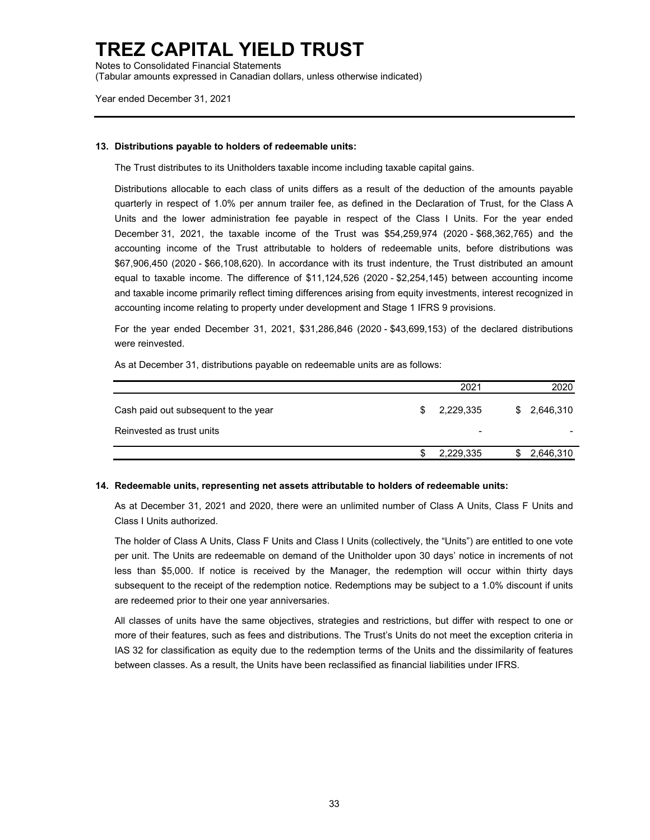Notes to Consolidated Financial Statements (Tabular amounts expressed in Canadian dollars, unless otherwise indicated)

Year ended December 31, 2021

#### **13. Distributions payable to holders of redeemable units:**

The Trust distributes to its Unitholders taxable income including taxable capital gains.

Distributions allocable to each class of units differs as a result of the deduction of the amounts payable quarterly in respect of 1.0% per annum trailer fee, as defined in the Declaration of Trust, for the Class A Units and the lower administration fee payable in respect of the Class I Units. For the year ended December 31, 2021, the taxable income of the Trust was \$54,259,974 (2020 - \$68,362,765) and the accounting income of the Trust attributable to holders of redeemable units, before distributions was \$67,906,450 (2020 - \$66,108,620). In accordance with its trust indenture, the Trust distributed an amount equal to taxable income. The difference of \$11,124,526 (2020 - \$2,254,145) between accounting income and taxable income primarily reflect timing differences arising from equity investments, interest recognized in accounting income relating to property under development and Stage 1 IFRS 9 provisions.

For the year ended December 31, 2021, \$31,286,846 (2020 - \$43,699,153) of the declared distributions were reinvested.

As at December 31, distributions payable on redeemable units are as follows:

|                                      | 2021                     |   | 2020        |
|--------------------------------------|--------------------------|---|-------------|
| Cash paid out subsequent to the year | 2,229,335                |   | \$2,646,310 |
| Reinvested as trust units            | $\overline{\phantom{0}}$ |   |             |
|                                      | 2,229,335                | S | 2,646,310   |

#### **14. Redeemable units, representing net assets attributable to holders of redeemable units:**

As at December 31, 2021 and 2020, there were an unlimited number of Class A Units, Class F Units and Class I Units authorized.

The holder of Class A Units, Class F Units and Class I Units (collectively, the "Units") are entitled to one vote per unit. The Units are redeemable on demand of the Unitholder upon 30 days' notice in increments of not less than \$5,000. If notice is received by the Manager, the redemption will occur within thirty days subsequent to the receipt of the redemption notice. Redemptions may be subject to a 1.0% discount if units are redeemed prior to their one year anniversaries.

All classes of units have the same objectives, strategies and restrictions, but differ with respect to one or more of their features, such as fees and distributions. The Trust's Units do not meet the exception criteria in IAS 32 for classification as equity due to the redemption terms of the Units and the dissimilarity of features between classes. As a result, the Units have been reclassified as financial liabilities under IFRS.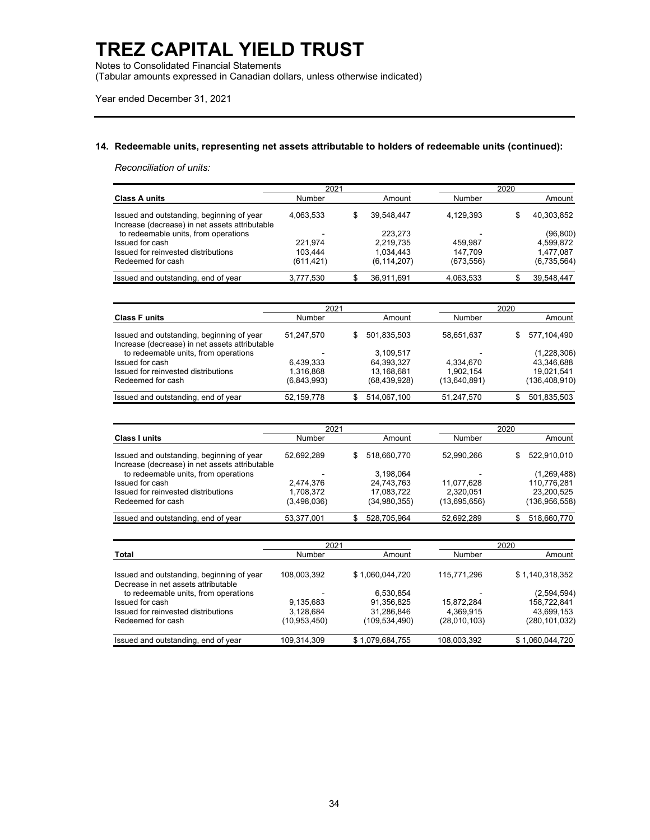Notes to Consolidated Financial Statements

(Tabular amounts expressed in Canadian dollars, unless otherwise indicated)

### **14. Redeemable units, representing net assets attributable to holders of redeemable units (continued):**

*Reconciliation of units:* 

|                                                                                             | 2021       |   |               | 2020       |  |             |
|---------------------------------------------------------------------------------------------|------------|---|---------------|------------|--|-------------|
| <b>Class A units</b>                                                                        | Number     |   | Amount        | Number     |  | Amount      |
| Issued and outstanding, beginning of year<br>Increase (decrease) in net assets attributable | 4.063.533  | S | 39,548,447    | 4,129,393  |  | 40,303,852  |
| to redeemable units, from operations                                                        |            |   | 223.273       |            |  | (96, 800)   |
| Issued for cash                                                                             | 221.974    |   | 2.219.735     | 459.987    |  | 4,599,872   |
| Issued for reinvested distributions                                                         | 103.444    |   | 1.034.443     | 147.709    |  | 1,477,087   |
| Redeemed for cash                                                                           | (611, 421) |   | (6, 114, 207) | (673, 556) |  | (6,735,564) |
| Issued and outstanding, end of year                                                         | 3.777.530  |   | 36,911,691    | 4,063,533  |  | 39,548,447  |

|                                                                                             | 2021        |                | 2020         |     |                 |
|---------------------------------------------------------------------------------------------|-------------|----------------|--------------|-----|-----------------|
| <b>Class Funits</b>                                                                         | Number      | Amount         | Number       |     | Amount          |
| Issued and outstanding, beginning of year<br>Increase (decrease) in net assets attributable | 51.247.570  | 501,835,503    | 58,651,637   | \$. | 577,104,490     |
| to redeemable units, from operations                                                        |             | 3.109.517      |              |     | (1,228,306)     |
| Issued for cash                                                                             | 6,439,333   | 64,393,327     | 4,334,670    |     | 43,346,688      |
| Issued for reinvested distributions                                                         | 1.316.868   | 13,168,681     | 1.902.154    |     | 19.021.541      |
| Redeemed for cash                                                                           | (6,843,993) | (68, 439, 928) | (13,640,891) |     | (136, 408, 910) |
| Issued and outstanding, end of year                                                         | 52.159.778  | 514,067,100    | 51.247.570   |     | 501,835,503     |

|                                                                                             | 2021        |     |              | 2020         |     |               |
|---------------------------------------------------------------------------------------------|-------------|-----|--------------|--------------|-----|---------------|
| <b>Class I units</b>                                                                        | Number      |     | Amount       | Number       |     | Amount        |
| Issued and outstanding, beginning of year<br>Increase (decrease) in net assets attributable | 52.692.289  | \$. | 518,660,770  | 52.990.266   | \$. | 522,910,010   |
| to redeemable units, from operations                                                        |             |     | 3.198.064    |              |     | (1,269,488)   |
| Issued for cash                                                                             | 2.474.376   |     | 24,743,763   | 11,077,628   |     | 110,776,281   |
| Issued for reinvested distributions                                                         | 1.708.372   |     | 17,083,722   | 2.320.051    |     | 23,200,525    |
| Redeemed for cash                                                                           | (3,498,036) |     | (34,980,355) | (13,695,656) |     | (136,956,558) |
| Issued and outstanding, end of year                                                         | 53,377,001  |     | 528.705.964  | 52,692,289   | \$  | 518,660,770   |

|                                                                                  | 2021         |                 | 2020         |                 |  |
|----------------------------------------------------------------------------------|--------------|-----------------|--------------|-----------------|--|
| Total                                                                            | Number       | Amount          | Number       | Amount          |  |
| Issued and outstanding, beginning of year<br>Decrease in net assets attributable | 108.003.392  | \$1.060.044.720 | 115.771.296  | \$1,140,318,352 |  |
| to redeemable units, from operations                                             |              | 6,530,854       |              | (2,594,594)     |  |
| Issued for cash                                                                  | 9,135,683    | 91,356,825      | 15,872,284   | 158,722,841     |  |
| Issued for reinvested distributions                                              | 3.128.684    | 31,286,846      | 4,369,915    | 43,699,153      |  |
| Redeemed for cash                                                                | (10,953,450) | (109,534,490)   | (28,010,103) | (280, 101, 032) |  |
| Issued and outstanding, end of year                                              | 109.314.309  | \$1,079,684,755 | 108,003,392  | \$1,060,044,720 |  |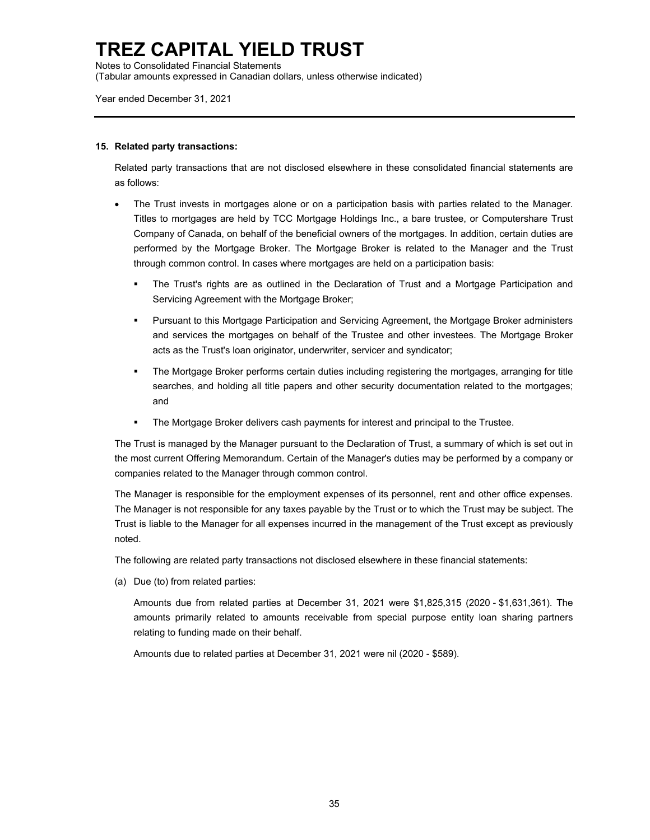Notes to Consolidated Financial Statements (Tabular amounts expressed in Canadian dollars, unless otherwise indicated)

Year ended December 31, 2021

#### **15. Related party transactions:**

Related party transactions that are not disclosed elsewhere in these consolidated financial statements are as follows:

- The Trust invests in mortgages alone or on a participation basis with parties related to the Manager. Titles to mortgages are held by TCC Mortgage Holdings Inc., a bare trustee, or Computershare Trust Company of Canada, on behalf of the beneficial owners of the mortgages. In addition, certain duties are performed by the Mortgage Broker. The Mortgage Broker is related to the Manager and the Trust through common control. In cases where mortgages are held on a participation basis:
	- The Trust's rights are as outlined in the Declaration of Trust and a Mortgage Participation and Servicing Agreement with the Mortgage Broker;
	- Pursuant to this Mortgage Participation and Servicing Agreement, the Mortgage Broker administers and services the mortgages on behalf of the Trustee and other investees. The Mortgage Broker acts as the Trust's loan originator, underwriter, servicer and syndicator;
	- The Mortgage Broker performs certain duties including registering the mortgages, arranging for title searches, and holding all title papers and other security documentation related to the mortgages; and
	- **The Mortgage Broker delivers cash payments for interest and principal to the Trustee.**

The Trust is managed by the Manager pursuant to the Declaration of Trust, a summary of which is set out in the most current Offering Memorandum. Certain of the Manager's duties may be performed by a company or companies related to the Manager through common control.

The Manager is responsible for the employment expenses of its personnel, rent and other office expenses. The Manager is not responsible for any taxes payable by the Trust or to which the Trust may be subject. The Trust is liable to the Manager for all expenses incurred in the management of the Trust except as previously noted.

The following are related party transactions not disclosed elsewhere in these financial statements:

(a) Due (to) from related parties:

Amounts due from related parties at December 31, 2021 were \$1,825,315 (2020 - \$1,631,361). The amounts primarily related to amounts receivable from special purpose entity loan sharing partners relating to funding made on their behalf.

Amounts due to related parties at December 31, 2021 were nil (2020 - \$589).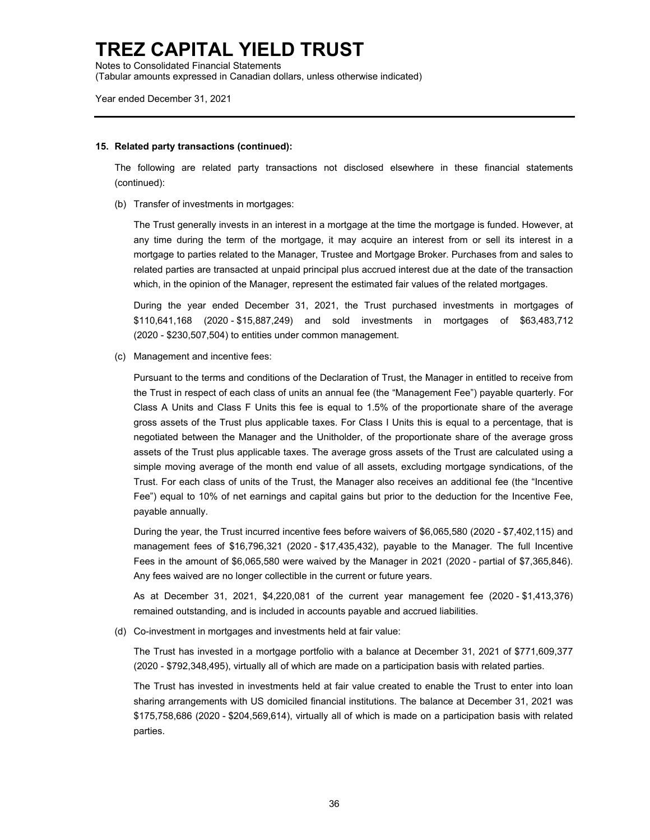Notes to Consolidated Financial Statements (Tabular amounts expressed in Canadian dollars, unless otherwise indicated)

Year ended December 31, 2021

#### **15. Related party transactions (continued):**

The following are related party transactions not disclosed elsewhere in these financial statements (continued):

(b) Transfer of investments in mortgages:

The Trust generally invests in an interest in a mortgage at the time the mortgage is funded. However, at any time during the term of the mortgage, it may acquire an interest from or sell its interest in a mortgage to parties related to the Manager, Trustee and Mortgage Broker. Purchases from and sales to related parties are transacted at unpaid principal plus accrued interest due at the date of the transaction which, in the opinion of the Manager, represent the estimated fair values of the related mortgages.

During the year ended December 31, 2021, the Trust purchased investments in mortgages of \$110,641,168 (2020 - \$15,887,249) and sold investments in mortgages of \$63,483,712 (2020 - \$230,507,504) to entities under common management.

(c) Management and incentive fees:

Pursuant to the terms and conditions of the Declaration of Trust, the Manager in entitled to receive from the Trust in respect of each class of units an annual fee (the "Management Fee") payable quarterly. For Class A Units and Class F Units this fee is equal to 1.5% of the proportionate share of the average gross assets of the Trust plus applicable taxes. For Class I Units this is equal to a percentage, that is negotiated between the Manager and the Unitholder, of the proportionate share of the average gross assets of the Trust plus applicable taxes. The average gross assets of the Trust are calculated using a simple moving average of the month end value of all assets, excluding mortgage syndications, of the Trust. For each class of units of the Trust, the Manager also receives an additional fee (the "Incentive Fee") equal to 10% of net earnings and capital gains but prior to the deduction for the Incentive Fee, payable annually.

During the year, the Trust incurred incentive fees before waivers of \$6,065,580 (2020 - \$7,402,115) and management fees of \$16,796,321 (2020 - \$17,435,432), payable to the Manager. The full Incentive Fees in the amount of \$6,065,580 were waived by the Manager in 2021 (2020 - partial of \$7,365,846). Any fees waived are no longer collectible in the current or future years.

As at December 31, 2021, \$4,220,081 of the current year management fee (2020 - \$1,413,376) remained outstanding, and is included in accounts payable and accrued liabilities.

(d) Co-investment in mortgages and investments held at fair value:

The Trust has invested in a mortgage portfolio with a balance at December 31, 2021 of \$771,609,377 (2020 - \$792,348,495), virtually all of which are made on a participation basis with related parties.

The Trust has invested in investments held at fair value created to enable the Trust to enter into loan sharing arrangements with US domiciled financial institutions. The balance at December 31, 2021 was \$175,758,686 (2020 - \$204,569,614), virtually all of which is made on a participation basis with related parties.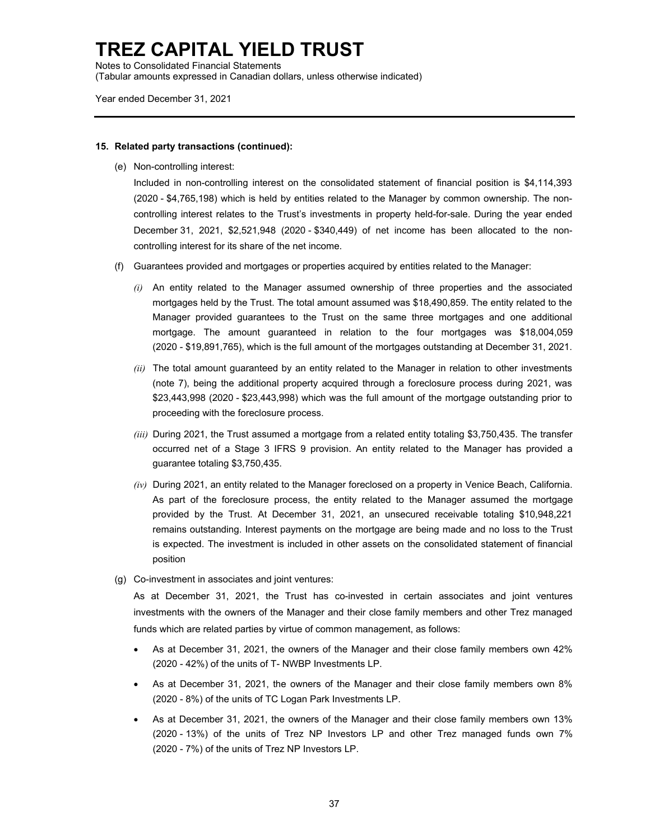Notes to Consolidated Financial Statements (Tabular amounts expressed in Canadian dollars, unless otherwise indicated)

Year ended December 31, 2021

#### **15. Related party transactions (continued):**

(e) Non-controlling interest:

Included in non-controlling interest on the consolidated statement of financial position is \$4,114,393 (2020 - \$4,765,198) which is held by entities related to the Manager by common ownership. The noncontrolling interest relates to the Trust's investments in property held-for-sale. During the year ended December 31, 2021, \$2,521,948 (2020 - \$340,449) of net income has been allocated to the noncontrolling interest for its share of the net income.

- (f) Guarantees provided and mortgages or properties acquired by entities related to the Manager:
	- *(i)* An entity related to the Manager assumed ownership of three properties and the associated mortgages held by the Trust. The total amount assumed was \$18,490,859. The entity related to the Manager provided guarantees to the Trust on the same three mortgages and one additional mortgage. The amount guaranteed in relation to the four mortgages was \$18,004,059 (2020 - \$19,891,765), which is the full amount of the mortgages outstanding at December 31, 2021.
	- *(ii)* The total amount guaranteed by an entity related to the Manager in relation to other investments (note 7), being the additional property acquired through a foreclosure process during 2021, was \$23,443,998 (2020 - \$23,443,998) which was the full amount of the mortgage outstanding prior to proceeding with the foreclosure process.
	- *(iii)* During 2021, the Trust assumed a mortgage from a related entity totaling \$3,750,435. The transfer occurred net of a Stage 3 IFRS 9 provision. An entity related to the Manager has provided a guarantee totaling \$3,750,435.
	- *(iv)* During 2021, an entity related to the Manager foreclosed on a property in Venice Beach, California. As part of the foreclosure process, the entity related to the Manager assumed the mortgage provided by the Trust. At December 31, 2021, an unsecured receivable totaling \$10,948,221 remains outstanding. Interest payments on the mortgage are being made and no loss to the Trust is expected. The investment is included in other assets on the consolidated statement of financial position
- (g) Co-investment in associates and joint ventures:

As at December 31, 2021, the Trust has co-invested in certain associates and joint ventures investments with the owners of the Manager and their close family members and other Trez managed funds which are related parties by virtue of common management, as follows:

- As at December 31, 2021, the owners of the Manager and their close family members own 42% (2020 - 42%) of the units of T- NWBP Investments LP.
- As at December 31, 2021, the owners of the Manager and their close family members own 8% (2020 - 8%) of the units of TC Logan Park Investments LP.
- As at December 31, 2021, the owners of the Manager and their close family members own 13% (2020 - 13%) of the units of Trez NP Investors LP and other Trez managed funds own 7% (2020 - 7%) of the units of Trez NP Investors LP.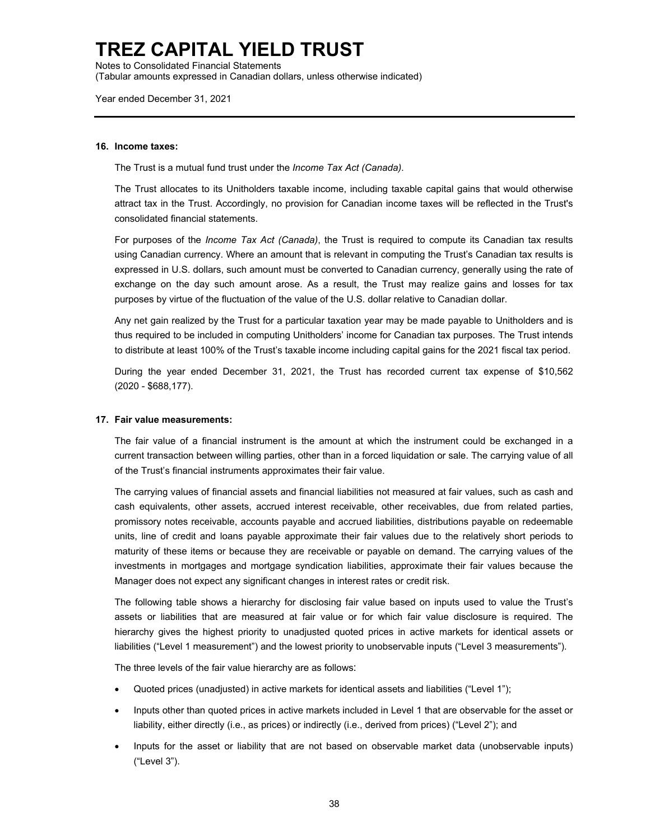Notes to Consolidated Financial Statements (Tabular amounts expressed in Canadian dollars, unless otherwise indicated)

Year ended December 31, 2021

#### **16. Income taxes:**

The Trust is a mutual fund trust under the *Income Tax Act (Canada)*.

The Trust allocates to its Unitholders taxable income, including taxable capital gains that would otherwise attract tax in the Trust. Accordingly, no provision for Canadian income taxes will be reflected in the Trust's consolidated financial statements.

For purposes of the *Income Tax Act (Canada)*, the Trust is required to compute its Canadian tax results using Canadian currency. Where an amount that is relevant in computing the Trust's Canadian tax results is expressed in U.S. dollars, such amount must be converted to Canadian currency, generally using the rate of exchange on the day such amount arose. As a result, the Trust may realize gains and losses for tax purposes by virtue of the fluctuation of the value of the U.S. dollar relative to Canadian dollar.

Any net gain realized by the Trust for a particular taxation year may be made payable to Unitholders and is thus required to be included in computing Unitholders' income for Canadian tax purposes. The Trust intends to distribute at least 100% of the Trust's taxable income including capital gains for the 2021 fiscal tax period.

During the year ended December 31, 2021, the Trust has recorded current tax expense of \$10,562 (2020 - \$688,177).

#### **17. Fair value measurements:**

The fair value of a financial instrument is the amount at which the instrument could be exchanged in a current transaction between willing parties, other than in a forced liquidation or sale. The carrying value of all of the Trust's financial instruments approximates their fair value.

The carrying values of financial assets and financial liabilities not measured at fair values, such as cash and cash equivalents, other assets, accrued interest receivable, other receivables, due from related parties, promissory notes receivable, accounts payable and accrued liabilities, distributions payable on redeemable units, line of credit and loans payable approximate their fair values due to the relatively short periods to maturity of these items or because they are receivable or payable on demand. The carrying values of the investments in mortgages and mortgage syndication liabilities, approximate their fair values because the Manager does not expect any significant changes in interest rates or credit risk.

The following table shows a hierarchy for disclosing fair value based on inputs used to value the Trust's assets or liabilities that are measured at fair value or for which fair value disclosure is required. The hierarchy gives the highest priority to unadjusted quoted prices in active markets for identical assets or liabilities ("Level 1 measurement") and the lowest priority to unobservable inputs ("Level 3 measurements").

The three levels of the fair value hierarchy are as follows:

- Quoted prices (unadjusted) in active markets for identical assets and liabilities ("Level 1");
- Inputs other than quoted prices in active markets included in Level 1 that are observable for the asset or liability, either directly (i.e., as prices) or indirectly (i.e., derived from prices) ("Level 2"); and
- Inputs for the asset or liability that are not based on observable market data (unobservable inputs) ("Level 3").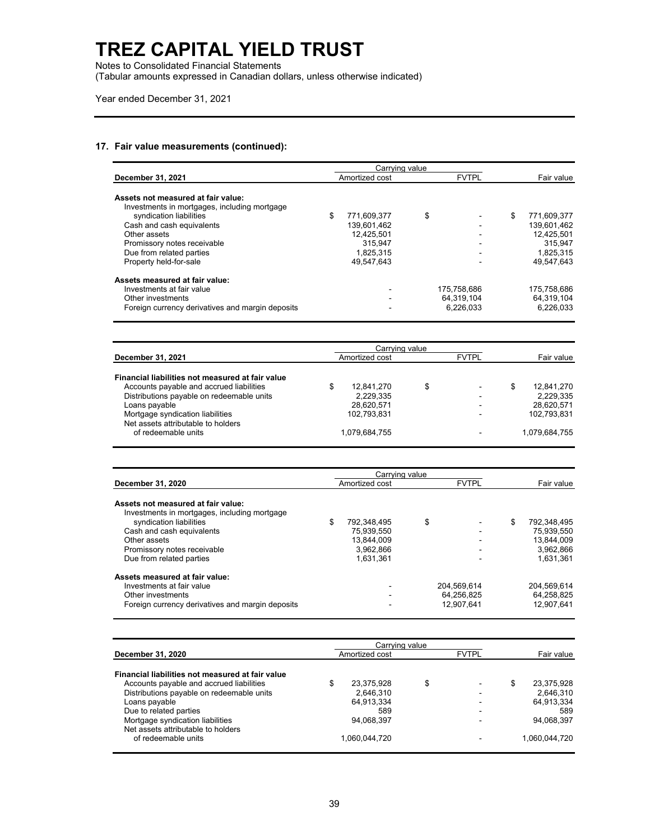Notes to Consolidated Financial Statements

(Tabular amounts expressed in Canadian dollars, unless otherwise indicated)

### **17. Fair value measurements (continued):**

|                                                                                                                                                                                                                                                 |    | Carrving value                                                                 |                                        |                                                                                      |
|-------------------------------------------------------------------------------------------------------------------------------------------------------------------------------------------------------------------------------------------------|----|--------------------------------------------------------------------------------|----------------------------------------|--------------------------------------------------------------------------------------|
| December 31, 2021                                                                                                                                                                                                                               |    | Amortized cost                                                                 | <b>FVTPL</b>                           | Fair value                                                                           |
| Assets not measured at fair value:<br>Investments in mortgages, including mortgage<br>syndication liabilities<br>Cash and cash equivalents<br>Other assets<br>Promissory notes receivable<br>Due from related parties<br>Property held-for-sale | \$ | 771.609.377<br>139.601.462<br>12.425.501<br>315.947<br>1,825,315<br>49.547.643 | \$                                     | \$<br>771,609,377<br>139.601.462<br>12,425,501<br>315.947<br>1,825,315<br>49.547.643 |
| Assets measured at fair value:<br>Investments at fair value<br>Other investments<br>Foreign currency derivatives and margin deposits                                                                                                            |    |                                                                                | 175.758.686<br>64,319,104<br>6,226,033 | 175,758,686<br>64,319,104<br>6,226,033                                               |

| December 31, 2021                                         | Amortized cost | <b>FVTPL</b>     |   | Fair value |               |
|-----------------------------------------------------------|----------------|------------------|---|------------|---------------|
| Financial liabilities not measured at fair value          |                |                  |   |            |               |
| Accounts payable and accrued liabilities                  | D              | 12.841.270<br>\$ | ۰ | S          | 12.841.270    |
| Distributions payable on redeemable units                 |                | 2.229.335        | ۰ |            | 2,229,335     |
| Loans payable                                             |                | 28,620,571       | - |            | 28,620,571    |
| Mortgage syndication liabilities                          | 102.793.831    |                  | - |            | 102.793.831   |
| Net assets attributable to holders<br>of redeemable units | 1,079,684,755  |                  | - |            | 1,079,684,755 |

|                                                                                                                                                                                                                       |                                | Carrying value                                                    |    |                                         |                                                                         |
|-----------------------------------------------------------------------------------------------------------------------------------------------------------------------------------------------------------------------|--------------------------------|-------------------------------------------------------------------|----|-----------------------------------------|-------------------------------------------------------------------------|
| December 31, 2020                                                                                                                                                                                                     | <b>FVTPL</b><br>Amortized cost |                                                                   |    |                                         | Fair value                                                              |
| Assets not measured at fair value:<br>Investments in mortgages, including mortgage<br>syndication liabilities<br>Cash and cash equivalents<br>Other assets<br>Promissory notes receivable<br>Due from related parties | \$                             | 792.348.495<br>75.939.550<br>13.844.009<br>3,962,866<br>1.631.361 | \$ |                                         | \$<br>792.348.495<br>75,939,550<br>13.844.009<br>3,962,866<br>1.631.361 |
| Assets measured at fair value:<br>Investments at fair value<br>Other investments<br>Foreign currency derivatives and margin deposits                                                                                  |                                |                                                                   |    | 204.569.614<br>64.256.825<br>12,907,641 | 204.569.614<br>64,258,825<br>12,907,641                                 |

|                                                  | Carrying value   |    |              |                  |  |
|--------------------------------------------------|------------------|----|--------------|------------------|--|
| December 31, 2020                                | Amortized cost   |    | <b>FVTPL</b> | Fair value       |  |
| Financial liabilities not measured at fair value |                  |    |              |                  |  |
| Accounts payable and accrued liabilities         | \$<br>23,375,928 | \$ | ۰            | \$<br>23,375,928 |  |
| Distributions payable on redeemable units        | 2.646.310        |    | -            | 2.646.310        |  |
| Loans payable                                    | 64,913,334       |    |              | 64,913,334       |  |
| Due to related parties                           | 589              |    | -            | 589              |  |
| Mortgage syndication liabilities                 | 94.068.397       |    |              | 94,068,397       |  |
| Net assets attributable to holders               |                  |    |              |                  |  |
| of redeemable units                              | 1,060,044,720    |    |              | 1,060,044,720    |  |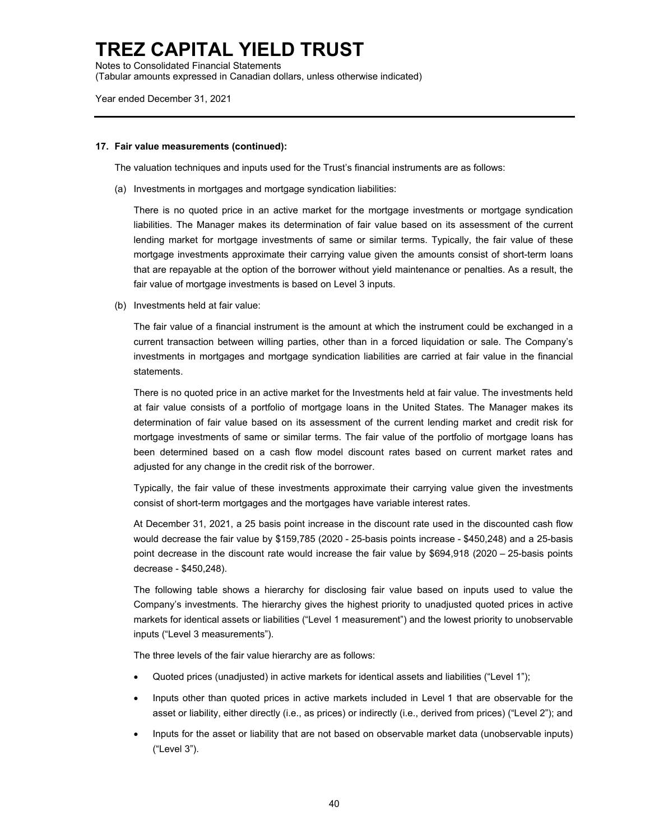Notes to Consolidated Financial Statements (Tabular amounts expressed in Canadian dollars, unless otherwise indicated)

Year ended December 31, 2021

#### **17. Fair value measurements (continued):**

The valuation techniques and inputs used for the Trust's financial instruments are as follows:

(a) Investments in mortgages and mortgage syndication liabilities:

There is no quoted price in an active market for the mortgage investments or mortgage syndication liabilities. The Manager makes its determination of fair value based on its assessment of the current lending market for mortgage investments of same or similar terms. Typically, the fair value of these mortgage investments approximate their carrying value given the amounts consist of short-term loans that are repayable at the option of the borrower without yield maintenance or penalties. As a result, the fair value of mortgage investments is based on Level 3 inputs.

(b) Investments held at fair value:

The fair value of a financial instrument is the amount at which the instrument could be exchanged in a current transaction between willing parties, other than in a forced liquidation or sale. The Company's investments in mortgages and mortgage syndication liabilities are carried at fair value in the financial statements.

There is no quoted price in an active market for the Investments held at fair value. The investments held at fair value consists of a portfolio of mortgage loans in the United States. The Manager makes its determination of fair value based on its assessment of the current lending market and credit risk for mortgage investments of same or similar terms. The fair value of the portfolio of mortgage loans has been determined based on a cash flow model discount rates based on current market rates and adjusted for any change in the credit risk of the borrower.

Typically, the fair value of these investments approximate their carrying value given the investments consist of short-term mortgages and the mortgages have variable interest rates.

At December 31, 2021, a 25 basis point increase in the discount rate used in the discounted cash flow would decrease the fair value by \$159,785 (2020 - 25-basis points increase - \$450,248) and a 25-basis point decrease in the discount rate would increase the fair value by \$694,918 (2020 – 25-basis points decrease - \$450,248).

The following table shows a hierarchy for disclosing fair value based on inputs used to value the Company's investments. The hierarchy gives the highest priority to unadjusted quoted prices in active markets for identical assets or liabilities ("Level 1 measurement") and the lowest priority to unobservable inputs ("Level 3 measurements").

The three levels of the fair value hierarchy are as follows:

- Quoted prices (unadjusted) in active markets for identical assets and liabilities ("Level 1");
- Inputs other than quoted prices in active markets included in Level 1 that are observable for the asset or liability, either directly (i.e., as prices) or indirectly (i.e., derived from prices) ("Level 2"); and
- Inputs for the asset or liability that are not based on observable market data (unobservable inputs) ("Level 3").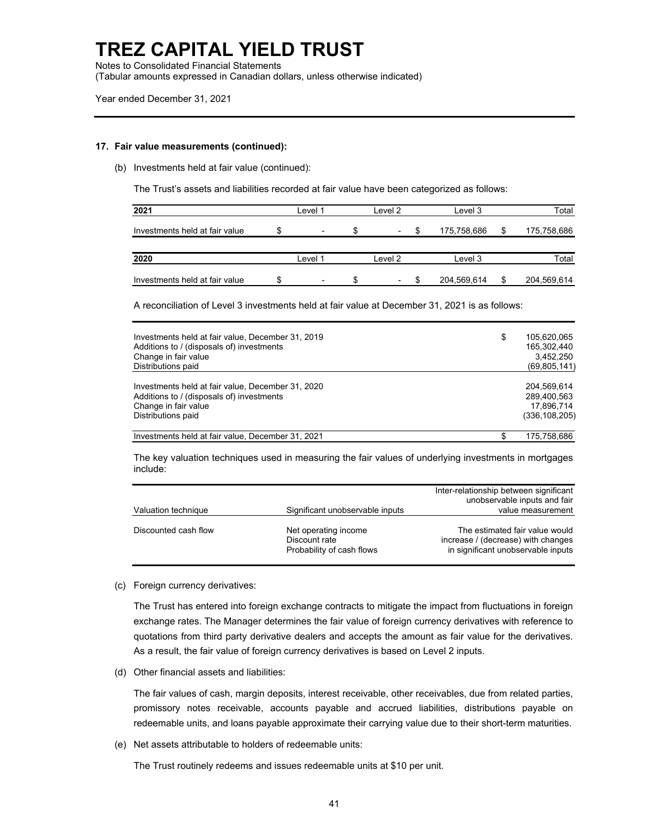Notes to Consolidated Financial Statements (Tabular amounts expressed in Canadian dollars, unless otherwise indicated)

#### **17. Fair value measurements (continued):**

(b) Investments held at fair value (continued):

The Trust's assets and liabilities recorded at fair value have been categorized as follows:

| 2021                           | ∟evel 1 |    | Level 2        | Level 3     | Total       |
|--------------------------------|---------|----|----------------|-------------|-------------|
| Investments held at fair value | ۰.      | S  | $\blacksquare$ | 175,758,686 | 175,758,686 |
| 2020                           | evel 1. |    | Level 2        | Level 3     | Total       |
| Investments held at fair value | ۰.      | \$ | $\blacksquare$ | 204,569,614 | 204,569,614 |

A reconciliation of Level 3 investments held at fair value at December 31, 2021 is as follows:

| Investments held at fair value, December 31, 2019<br>Additions to / (disposals of) investments<br>Change in fair value<br>Distributions paid | \$<br>105.620.065<br>165.302.440<br>3.452.250<br>(69,805,141) |
|----------------------------------------------------------------------------------------------------------------------------------------------|---------------------------------------------------------------|
| Investments held at fair value, December 31, 2020<br>Additions to / (disposals of) investments<br>Change in fair value<br>Distributions paid | 204.569.614<br>289,400,563<br>17.896.714<br>(336, 108, 205)   |
| Investments held at fair value, December 31, 2021                                                                                            | 175.758.686                                                   |

The key valuation techniques used in measuring the fair values of underlying investments in mortgages include:

|                      |                                 | Inter-relationship between significant |
|----------------------|---------------------------------|----------------------------------------|
|                      |                                 | unobservable inputs and fair           |
| Valuation technique  | Significant unobservable inputs | value measurement                      |
|                      |                                 |                                        |
| Discounted cash flow | Net operating income            | The estimated fair value would         |
|                      | Discount rate                   | increase / (decrease) with changes     |
|                      | Probability of cash flows       | in significant unobservable inputs     |
|                      |                                 |                                        |

(c) Foreign currency derivatives:

The Trust has entered into foreign exchange contracts to mitigate the impact from fluctuations in foreign exchange rates. The Manager determines the fair value of foreign currency derivatives with reference to quotations from third party derivative dealers and accepts the amount as fair value for the derivatives. As a result, the fair value of foreign currency derivatives is based on Level 2 inputs.

(d) Other financial assets and liabilities:

The fair values of cash, margin deposits, interest receivable, other receivables, due from related parties, promissory notes receivable, accounts payable and accrued liabilities, distributions payable on redeemable units, and loans payable approximate their carrying value due to their short-term maturities.

(e) Net assets attributable to holders of redeemable units:

The Trust routinely redeems and issues redeemable units at \$10 per unit.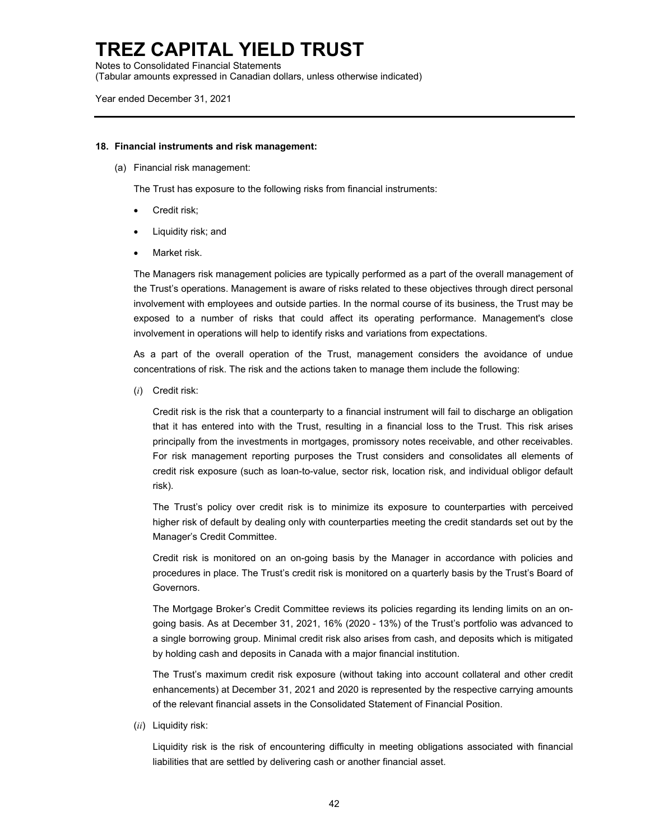Notes to Consolidated Financial Statements (Tabular amounts expressed in Canadian dollars, unless otherwise indicated)

Year ended December 31, 2021

#### **18. Financial instruments and risk management:**

(a) Financial risk management:

The Trust has exposure to the following risks from financial instruments:

- Credit risk;
- Liquidity risk; and
- Market risk.

The Managers risk management policies are typically performed as a part of the overall management of the Trust's operations. Management is aware of risks related to these objectives through direct personal involvement with employees and outside parties. In the normal course of its business, the Trust may be exposed to a number of risks that could affect its operating performance. Management's close involvement in operations will help to identify risks and variations from expectations.

As a part of the overall operation of the Trust, management considers the avoidance of undue concentrations of risk. The risk and the actions taken to manage them include the following:

(*i*) Credit risk:

Credit risk is the risk that a counterparty to a financial instrument will fail to discharge an obligation that it has entered into with the Trust, resulting in a financial loss to the Trust. This risk arises principally from the investments in mortgages, promissory notes receivable, and other receivables. For risk management reporting purposes the Trust considers and consolidates all elements of credit risk exposure (such as loan-to-value, sector risk, location risk, and individual obligor default risk).

The Trust's policy over credit risk is to minimize its exposure to counterparties with perceived higher risk of default by dealing only with counterparties meeting the credit standards set out by the Manager's Credit Committee.

Credit risk is monitored on an on-going basis by the Manager in accordance with policies and procedures in place. The Trust's credit risk is monitored on a quarterly basis by the Trust's Board of Governors.

The Mortgage Broker's Credit Committee reviews its policies regarding its lending limits on an ongoing basis. As at December 31, 2021, 16% (2020 - 13%) of the Trust's portfolio was advanced to a single borrowing group. Minimal credit risk also arises from cash, and deposits which is mitigated by holding cash and deposits in Canada with a major financial institution.

The Trust's maximum credit risk exposure (without taking into account collateral and other credit enhancements) at December 31, 2021 and 2020 is represented by the respective carrying amounts of the relevant financial assets in the Consolidated Statement of Financial Position.

(*ii*) Liquidity risk:

Liquidity risk is the risk of encountering difficulty in meeting obligations associated with financial liabilities that are settled by delivering cash or another financial asset.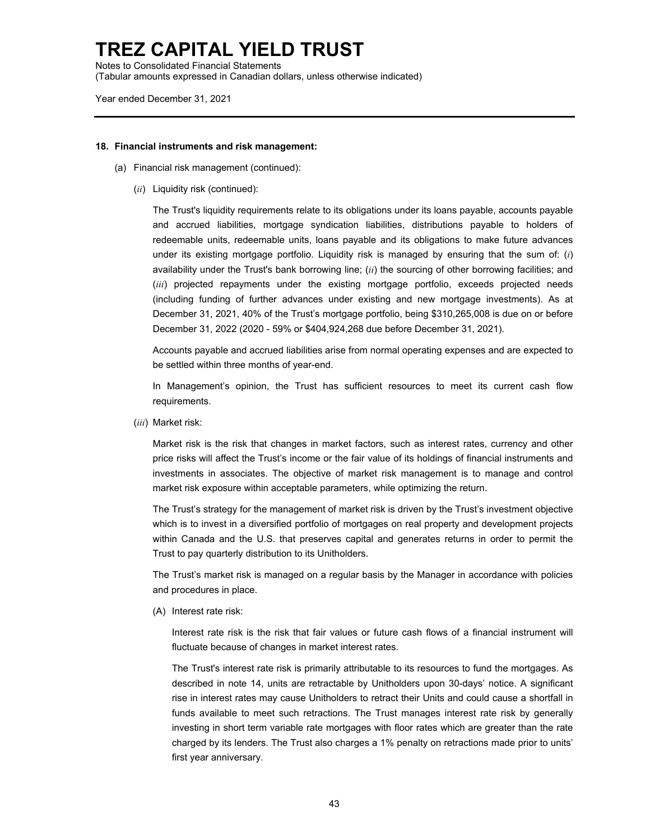Notes to Consolidated Financial Statements (Tabular amounts expressed in Canadian dollars, unless otherwise indicated)

Year ended December 31, 2021

#### **18. Financial instruments and risk management:**

- (a) Financial risk management (continued):
	- (*ii*) Liquidity risk (continued):

The Trust's liquidity requirements relate to its obligations under its loans payable, accounts payable and accrued liabilities, mortgage syndication liabilities, distributions payable to holders of redeemable units, redeemable units, loans payable and its obligations to make future advances under its existing mortgage portfolio. Liquidity risk is managed by ensuring that the sum of: (*i*) availability under the Trust's bank borrowing line; (*ii*) the sourcing of other borrowing facilities; and (*iii*) projected repayments under the existing mortgage portfolio, exceeds projected needs (including funding of further advances under existing and new mortgage investments). As at December 31, 2021, 40% of the Trust's mortgage portfolio, being \$310,265,008 is due on or before December 31, 2022 (2020 - 59% or \$404,924,268 due before December 31, 2021).

Accounts payable and accrued liabilities arise from normal operating expenses and are expected to be settled within three months of year-end.

In Management's opinion, the Trust has sufficient resources to meet its current cash flow requirements.

(*iii*) Market risk:

Market risk is the risk that changes in market factors, such as interest rates, currency and other price risks will affect the Trust's income or the fair value of its holdings of financial instruments and investments in associates. The objective of market risk management is to manage and control market risk exposure within acceptable parameters, while optimizing the return.

The Trust's strategy for the management of market risk is driven by the Trust's investment objective which is to invest in a diversified portfolio of mortgages on real property and development projects within Canada and the U.S. that preserves capital and generates returns in order to permit the Trust to pay quarterly distribution to its Unitholders.

The Trust's market risk is managed on a regular basis by the Manager in accordance with policies and procedures in place.

(A) Interest rate risk:

Interest rate risk is the risk that fair values or future cash flows of a financial instrument will fluctuate because of changes in market interest rates.

The Trust's interest rate risk is primarily attributable to its resources to fund the mortgages. As described in note 14, units are retractable by Unitholders upon 30-days' notice. A significant rise in interest rates may cause Unitholders to retract their Units and could cause a shortfall in funds available to meet such retractions. The Trust manages interest rate risk by generally investing in short term variable rate mortgages with floor rates which are greater than the rate charged by its lenders. The Trust also charges a 1% penalty on retractions made prior to units' first year anniversary.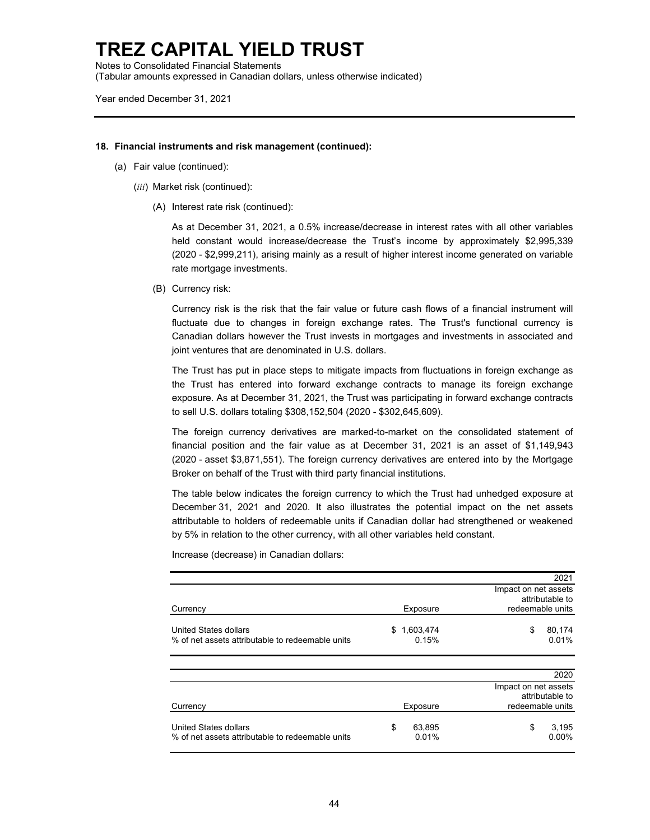Notes to Consolidated Financial Statements (Tabular amounts expressed in Canadian dollars, unless otherwise indicated)

Year ended December 31, 2021

#### **18. Financial instruments and risk management (continued):**

- (a) Fair value (continued):
	- (*iii*) Market risk (continued):
		- (A) Interest rate risk (continued):

As at December 31, 2021, a 0.5% increase/decrease in interest rates with all other variables held constant would increase/decrease the Trust's income by approximately \$2,995,339 (2020 - \$2,999,211), arising mainly as a result of higher interest income generated on variable rate mortgage investments.

(B) Currency risk:

Currency risk is the risk that the fair value or future cash flows of a financial instrument will fluctuate due to changes in foreign exchange rates. The Trust's functional currency is Canadian dollars however the Trust invests in mortgages and investments in associated and joint ventures that are denominated in U.S. dollars.

The Trust has put in place steps to mitigate impacts from fluctuations in foreign exchange as the Trust has entered into forward exchange contracts to manage its foreign exchange exposure. As at December 31, 2021, the Trust was participating in forward exchange contracts to sell U.S. dollars totaling \$308,152,504 (2020 - \$302,645,609).

The foreign currency derivatives are marked-to-market on the consolidated statement of financial position and the fair value as at December 31, 2021 is an asset of \$1,149,943 (2020 - asset \$3,871,551). The foreign currency derivatives are entered into by the Mortgage Broker on behalf of the Trust with third party financial institutions.

The table below indicates the foreign currency to which the Trust had unhedged exposure at December 31, 2021 and 2020. It also illustrates the potential impact on the net assets attributable to holders of redeemable units if Canadian dollar had strengthened or weakened by 5% in relation to the other currency, with all other variables held constant.

Increase (decrease) in Canadian dollars:

|                                                                                  |                       | 2021                                                        |
|----------------------------------------------------------------------------------|-----------------------|-------------------------------------------------------------|
| Currency                                                                         | Exposure              | Impact on net assets<br>attributable to<br>redeemable units |
|                                                                                  |                       |                                                             |
| <b>United States dollars</b><br>% of net assets attributable to redeemable units | \$1,603,474<br>0.15%  | \$<br>80,174<br>0.01%                                       |
|                                                                                  |                       |                                                             |
|                                                                                  |                       | 2020                                                        |
|                                                                                  |                       | Impact on net assets                                        |
|                                                                                  |                       | attributable to                                             |
| Currency                                                                         | Exposure              | redeemable units                                            |
| <b>United States dollars</b><br>% of net assets attributable to redeemable units | \$<br>63,895<br>0.01% | \$<br>3,195<br>$0.00\%$                                     |